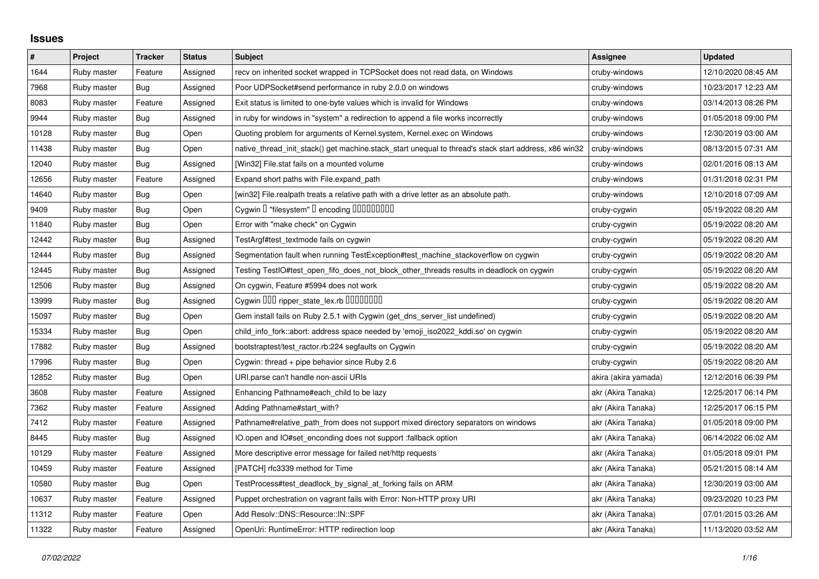## **Issues**

| $\pmb{\#}$ | Project     | <b>Tracker</b> | <b>Status</b> | <b>Subject</b>                                                                                        | <b>Assignee</b>      | <b>Updated</b>      |
|------------|-------------|----------------|---------------|-------------------------------------------------------------------------------------------------------|----------------------|---------------------|
| 1644       | Ruby master | Feature        | Assigned      | recv on inherited socket wrapped in TCPSocket does not read data, on Windows                          | cruby-windows        | 12/10/2020 08:45 AM |
| 7968       | Ruby master | Bug            | Assigned      | Poor UDPSocket#send performance in ruby 2.0.0 on windows                                              | cruby-windows        | 10/23/2017 12:23 AM |
| 8083       | Ruby master | Feature        | Assigned      | Exit status is limited to one-byte values which is invalid for Windows                                | cruby-windows        | 03/14/2013 08:26 PM |
| 9944       | Ruby master | Bug            | Assigned      | in ruby for windows in "system" a redirection to append a file works incorrectly                      | cruby-windows        | 01/05/2018 09:00 PM |
| 10128      | Ruby master | Bug            | Open          | Quoting problem for arguments of Kernel.system, Kernel.exec on Windows                                | cruby-windows        | 12/30/2019 03:00 AM |
| 11438      | Ruby master | Bug            | Open          | native_thread_init_stack() get machine.stack_start unequal to thread's stack start address, x86 win32 | cruby-windows        | 08/13/2015 07:31 AM |
| 12040      | Ruby master | Bug            | Assigned      | [Win32] File.stat fails on a mounted volume                                                           | cruby-windows        | 02/01/2016 08:13 AM |
| 12656      | Ruby master | Feature        | Assigned      | Expand short paths with File.expand_path                                                              | cruby-windows        | 01/31/2018 02:31 PM |
| 14640      | Ruby master | Bug            | Open          | [win32] File.realpath treats a relative path with a drive letter as an absolute path.                 | cruby-windows        | 12/10/2018 07:09 AM |
| 9409       | Ruby master | Bug            | Open          | Cygwin I "filesystem" I encoding IIIIIIIIIIIII                                                        | cruby-cygwin         | 05/19/2022 08:20 AM |
| 11840      | Ruby master | Bug            | Open          | Error with "make check" on Cygwin                                                                     | cruby-cygwin         | 05/19/2022 08:20 AM |
| 12442      | Ruby master | <b>Bug</b>     | Assigned      | TestArgf#test_textmode fails on cygwin                                                                | cruby-cygwin         | 05/19/2022 08:20 AM |
| 12444      | Ruby master | <b>Bug</b>     | Assigned      | Segmentation fault when running TestException#test_machine_stackoverflow on cygwin                    | cruby-cygwin         | 05/19/2022 08:20 AM |
| 12445      | Ruby master | Bug            | Assigned      | Testing TestlO#test_open_fifo_does_not_block_other_threads results in deadlock on cygwin              | cruby-cygwin         | 05/19/2022 08:20 AM |
| 12506      | Ruby master | <b>Bug</b>     | Assigned      | On cygwin, Feature #5994 does not work                                                                | cruby-cygwin         | 05/19/2022 08:20 AM |
| 13999      | Ruby master | Bug            | Assigned      | Cygwin OOD ripper_state_lex.rb 0000000                                                                | cruby-cygwin         | 05/19/2022 08:20 AM |
| 15097      | Ruby master | Bug            | Open          | Gem install fails on Ruby 2.5.1 with Cygwin (get_dns_server_list undefined)                           | cruby-cygwin         | 05/19/2022 08:20 AM |
| 15334      | Ruby master | Bug            | Open          | child_info_fork::abort: address space needed by 'emoji_iso2022_kddi.so' on cygwin                     | cruby-cygwin         | 05/19/2022 08:20 AM |
| 17882      | Ruby master | Bug            | Assigned      | bootstraptest/test_ractor.rb:224 segfaults on Cygwin                                                  | cruby-cygwin         | 05/19/2022 08:20 AM |
| 17996      | Ruby master | Bug            | Open          | Cygwin: thread + pipe behavior since Ruby 2.6                                                         | cruby-cygwin         | 05/19/2022 08:20 AM |
| 12852      | Ruby master | <b>Bug</b>     | Open          | URI.parse can't handle non-ascii URIs                                                                 | akira (akira yamada) | 12/12/2016 06:39 PM |
| 3608       | Ruby master | Feature        | Assigned      | Enhancing Pathname#each_child to be lazy                                                              | akr (Akira Tanaka)   | 12/25/2017 06:14 PM |
| 7362       | Ruby master | Feature        | Assigned      | Adding Pathname#start_with?                                                                           | akr (Akira Tanaka)   | 12/25/2017 06:15 PM |
| 7412       | Ruby master | Feature        | Assigned      | Pathname#relative path from does not support mixed directory separators on windows                    | akr (Akira Tanaka)   | 01/05/2018 09:00 PM |
| 8445       | Ruby master | Bug            | Assigned      | IO.open and IO#set enconding does not support :fallback option                                        | akr (Akira Tanaka)   | 06/14/2022 06:02 AM |
| 10129      | Ruby master | Feature        | Assigned      | More descriptive error message for failed net/http requests                                           | akr (Akira Tanaka)   | 01/05/2018 09:01 PM |
| 10459      | Ruby master | Feature        | Assigned      | [PATCH] rfc3339 method for Time                                                                       | akr (Akira Tanaka)   | 05/21/2015 08:14 AM |
| 10580      | Ruby master | Bug            | Open          | TestProcess#test_deadlock_by_signal_at_forking fails on ARM                                           | akr (Akira Tanaka)   | 12/30/2019 03:00 AM |
| 10637      | Ruby master | Feature        | Assigned      | Puppet orchestration on vagrant fails with Error: Non-HTTP proxy URI                                  | akr (Akira Tanaka)   | 09/23/2020 10:23 PM |
| 11312      | Ruby master | Feature        | Open          | Add Resolv::DNS::Resource::IN::SPF                                                                    | akr (Akira Tanaka)   | 07/01/2015 03:26 AM |
| 11322      | Ruby master | Feature        | Assigned      | OpenUri: RuntimeError: HTTP redirection loop                                                          | akr (Akira Tanaka)   | 11/13/2020 03:52 AM |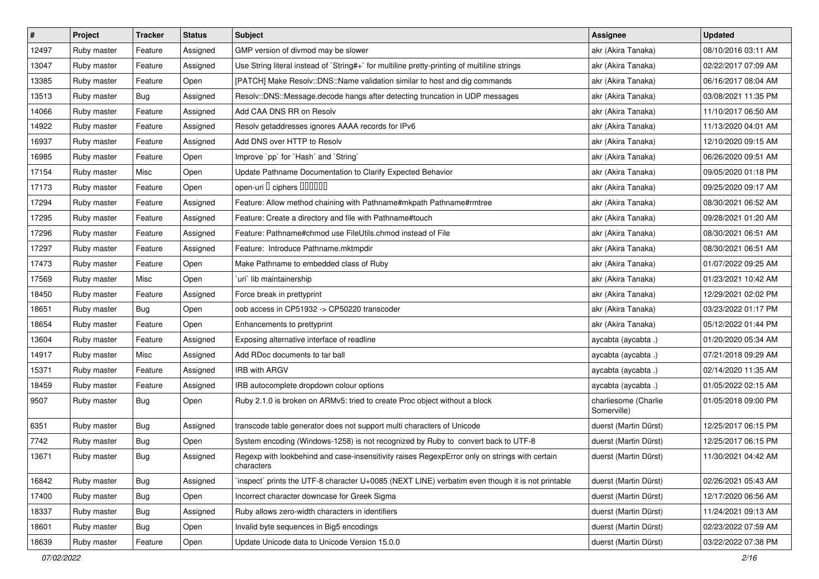| $\pmb{\#}$ | Project     | <b>Tracker</b> | <b>Status</b> | Subject                                                                                                     | Assignee                            | <b>Updated</b>      |
|------------|-------------|----------------|---------------|-------------------------------------------------------------------------------------------------------------|-------------------------------------|---------------------|
| 12497      | Ruby master | Feature        | Assigned      | GMP version of divmod may be slower                                                                         | akr (Akira Tanaka)                  | 08/10/2016 03:11 AM |
| 13047      | Ruby master | Feature        | Assigned      | Use String literal instead of `String#+` for multiline pretty-printing of multiline strings                 | akr (Akira Tanaka)                  | 02/22/2017 07:09 AM |
| 13385      | Ruby master | Feature        | Open          | [PATCH] Make Resolv::DNS::Name validation similar to host and dig commands                                  | akr (Akira Tanaka)                  | 06/16/2017 08:04 AM |
| 13513      | Ruby master | Bug            | Assigned      | Resolv::DNS::Message.decode hangs after detecting truncation in UDP messages                                | akr (Akira Tanaka)                  | 03/08/2021 11:35 PM |
| 14066      | Ruby master | Feature        | Assigned      | Add CAA DNS RR on Resolv                                                                                    | akr (Akira Tanaka)                  | 11/10/2017 06:50 AM |
| 14922      | Ruby master | Feature        | Assigned      | Resolv getaddresses ignores AAAA records for IPv6                                                           | akr (Akira Tanaka)                  | 11/13/2020 04:01 AM |
| 16937      | Ruby master | Feature        | Assigned      | Add DNS over HTTP to Resolv                                                                                 | akr (Akira Tanaka)                  | 12/10/2020 09:15 AM |
| 16985      | Ruby master | Feature        | Open          | Improve `pp` for `Hash` and `String`                                                                        | akr (Akira Tanaka)                  | 06/26/2020 09:51 AM |
| 17154      | Ruby master | Misc           | Open          | Update Pathname Documentation to Clarify Expected Behavior                                                  | akr (Akira Tanaka)                  | 09/05/2020 01:18 PM |
| 17173      | Ruby master | Feature        | Open          | open-uri I ciphers IIIIIII                                                                                  | akr (Akira Tanaka)                  | 09/25/2020 09:17 AM |
| 17294      | Ruby master | Feature        | Assigned      | Feature: Allow method chaining with Pathname#mkpath Pathname#rmtree                                         | akr (Akira Tanaka)                  | 08/30/2021 06:52 AM |
| 17295      | Ruby master | Feature        | Assigned      | Feature: Create a directory and file with Pathname#touch                                                    | akr (Akira Tanaka)                  | 09/28/2021 01:20 AM |
| 17296      | Ruby master | Feature        | Assigned      | Feature: Pathname#chmod use FileUtils.chmod instead of File                                                 | akr (Akira Tanaka)                  | 08/30/2021 06:51 AM |
| 17297      | Ruby master | Feature        | Assigned      | Feature: Introduce Pathname.mktmpdir                                                                        | akr (Akira Tanaka)                  | 08/30/2021 06:51 AM |
| 17473      | Ruby master | Feature        | Open          | Make Pathname to embedded class of Ruby                                                                     | akr (Akira Tanaka)                  | 01/07/2022 09:25 AM |
| 17569      | Ruby master | Misc           | Open          | uri` lib maintainership                                                                                     | akr (Akira Tanaka)                  | 01/23/2021 10:42 AM |
| 18450      | Ruby master | Feature        | Assigned      | Force break in prettyprint                                                                                  | akr (Akira Tanaka)                  | 12/29/2021 02:02 PM |
| 18651      | Ruby master | <b>Bug</b>     | Open          | oob access in CP51932 -> CP50220 transcoder                                                                 | akr (Akira Tanaka)                  | 03/23/2022 01:17 PM |
| 18654      | Ruby master | Feature        | Open          | Enhancements to prettyprint                                                                                 | akr (Akira Tanaka)                  | 05/12/2022 01:44 PM |
| 13604      | Ruby master | Feature        | Assigned      | Exposing alternative interface of readline                                                                  | aycabta (aycabta .)                 | 01/20/2020 05:34 AM |
| 14917      | Ruby master | Misc           | Assigned      | Add RDoc documents to tar ball                                                                              | aycabta (aycabta .)                 | 07/21/2018 09:29 AM |
| 15371      | Ruby master | Feature        | Assigned      | <b>IRB with ARGV</b>                                                                                        | aycabta (aycabta .)                 | 02/14/2020 11:35 AM |
| 18459      | Ruby master | Feature        | Assigned      | IRB autocomplete dropdown colour options                                                                    | aycabta (aycabta .)                 | 01/05/2022 02:15 AM |
| 9507       | Ruby master | Bug            | Open          | Ruby 2.1.0 is broken on ARMv5: tried to create Proc object without a block                                  | charliesome (Charlie<br>Somerville) | 01/05/2018 09:00 PM |
| 6351       | Ruby master | Bug            | Assigned      | transcode table generator does not support multi characters of Unicode                                      | duerst (Martin Dürst)               | 12/25/2017 06:15 PM |
| 7742       | Ruby master | <b>Bug</b>     | Open          | System encoding (Windows-1258) is not recognized by Ruby to convert back to UTF-8                           | duerst (Martin Dürst)               | 12/25/2017 06:15 PM |
| 13671      | Ruby master | <b>Bug</b>     | Assigned      | Regexp with lookbehind and case-insensitivity raises RegexpError only on strings with certain<br>characters | duerst (Martin Dürst)               | 11/30/2021 04:42 AM |
| 16842      | Ruby master | Bug            | Assigned      | inspect prints the UTF-8 character U+0085 (NEXT LINE) verbatim even though it is not printable              | duerst (Martin Dürst)               | 02/26/2021 05:43 AM |
| 17400      | Ruby master | Bug            | Open          | Incorrect character downcase for Greek Sigma                                                                | duerst (Martin Dürst)               | 12/17/2020 06:56 AM |
| 18337      | Ruby master | Bug            | Assigned      | Ruby allows zero-width characters in identifiers                                                            | duerst (Martin Dürst)               | 11/24/2021 09:13 AM |
| 18601      | Ruby master | Bug            | Open          | Invalid byte sequences in Big5 encodings                                                                    | duerst (Martin Dürst)               | 02/23/2022 07:59 AM |
| 18639      | Ruby master | Feature        | Open          | Update Unicode data to Unicode Version 15.0.0                                                               | duerst (Martin Dürst)               | 03/22/2022 07:38 PM |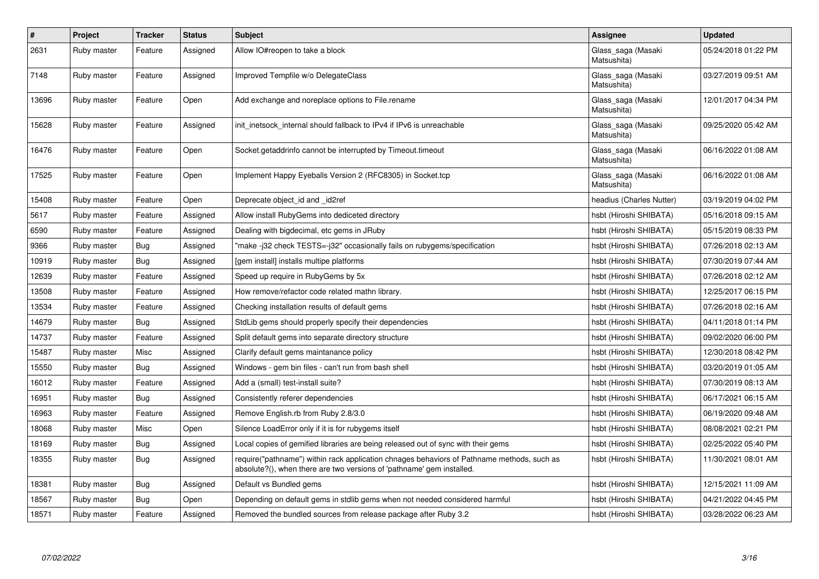| $\vert$ # | Project     | <b>Tracker</b> | <b>Status</b> | <b>Subject</b>                                                                                                                                                      | Assignee                          | <b>Updated</b>      |
|-----------|-------------|----------------|---------------|---------------------------------------------------------------------------------------------------------------------------------------------------------------------|-----------------------------------|---------------------|
| 2631      | Ruby master | Feature        | Assigned      | Allow IO#reopen to take a block                                                                                                                                     | Glass_saga (Masaki<br>Matsushita) | 05/24/2018 01:22 PM |
| 7148      | Ruby master | Feature        | Assigned      | Improved Tempfile w/o DelegateClass                                                                                                                                 | Glass_saga (Masaki<br>Matsushita) | 03/27/2019 09:51 AM |
| 13696     | Ruby master | Feature        | Open          | Add exchange and noreplace options to File.rename                                                                                                                   | Glass_saga (Masaki<br>Matsushita) | 12/01/2017 04:34 PM |
| 15628     | Ruby master | Feature        | Assigned      | init inetsock internal should fallback to IPv4 if IPv6 is unreachable                                                                                               | Glass_saga (Masaki<br>Matsushita) | 09/25/2020 05:42 AM |
| 16476     | Ruby master | Feature        | Open          | Socket.getaddrinfo cannot be interrupted by Timeout.timeout                                                                                                         | Glass_saga (Masaki<br>Matsushita) | 06/16/2022 01:08 AM |
| 17525     | Ruby master | Feature        | Open          | Implement Happy Eyeballs Version 2 (RFC8305) in Socket.tcp                                                                                                          | Glass_saga (Masaki<br>Matsushita) | 06/16/2022 01:08 AM |
| 15408     | Ruby master | Feature        | Open          | Deprecate object id and id2ref                                                                                                                                      | headius (Charles Nutter)          | 03/19/2019 04:02 PM |
| 5617      | Ruby master | Feature        | Assigned      | Allow install RubyGems into dediceted directory                                                                                                                     | hsbt (Hiroshi SHIBATA)            | 05/16/2018 09:15 AM |
| 6590      | Ruby master | Feature        | Assigned      | Dealing with bigdecimal, etc gems in JRuby                                                                                                                          | hsbt (Hiroshi SHIBATA)            | 05/15/2019 08:33 PM |
| 9366      | Ruby master | <b>Bug</b>     | Assigned      | "make-j32 check TESTS=-j32" occasionally fails on rubygems/specification                                                                                            | hsbt (Hiroshi SHIBATA)            | 07/26/2018 02:13 AM |
| 10919     | Ruby master | Bug            | Assigned      | [gem install] installs multipe platforms                                                                                                                            | hsbt (Hiroshi SHIBATA)            | 07/30/2019 07:44 AM |
| 12639     | Ruby master | Feature        | Assigned      | Speed up require in RubyGems by 5x                                                                                                                                  | hsbt (Hiroshi SHIBATA)            | 07/26/2018 02:12 AM |
| 13508     | Ruby master | Feature        | Assigned      | How remove/refactor code related mathn library.                                                                                                                     | hsbt (Hiroshi SHIBATA)            | 12/25/2017 06:15 PM |
| 13534     | Ruby master | Feature        | Assigned      | Checking installation results of default gems                                                                                                                       | hsbt (Hiroshi SHIBATA)            | 07/26/2018 02:16 AM |
| 14679     | Ruby master | Bug            | Assigned      | StdLib gems should properly specify their dependencies                                                                                                              | hsbt (Hiroshi SHIBATA)            | 04/11/2018 01:14 PM |
| 14737     | Ruby master | Feature        | Assigned      | Split default gems into separate directory structure                                                                                                                | hsbt (Hiroshi SHIBATA)            | 09/02/2020 06:00 PM |
| 15487     | Ruby master | Misc           | Assigned      | Clarify default gems maintanance policy                                                                                                                             | hsbt (Hiroshi SHIBATA)            | 12/30/2018 08:42 PM |
| 15550     | Ruby master | <b>Bug</b>     | Assigned      | Windows - gem bin files - can't run from bash shell                                                                                                                 | hsbt (Hiroshi SHIBATA)            | 03/20/2019 01:05 AM |
| 16012     | Ruby master | Feature        | Assigned      | Add a (small) test-install suite?                                                                                                                                   | hsbt (Hiroshi SHIBATA)            | 07/30/2019 08:13 AM |
| 16951     | Ruby master | Bug            | Assigned      | Consistently referer dependencies                                                                                                                                   | hsbt (Hiroshi SHIBATA)            | 06/17/2021 06:15 AM |
| 16963     | Ruby master | Feature        | Assigned      | Remove English.rb from Ruby 2.8/3.0                                                                                                                                 | hsbt (Hiroshi SHIBATA)            | 06/19/2020 09:48 AM |
| 18068     | Ruby master | Misc           | Open          | Silence LoadError only if it is for rubygems itself                                                                                                                 | hsbt (Hiroshi SHIBATA)            | 08/08/2021 02:21 PM |
| 18169     | Ruby master | Bug            | Assigned      | Local copies of gemified libraries are being released out of sync with their gems                                                                                   | hsbt (Hiroshi SHIBATA)            | 02/25/2022 05:40 PM |
| 18355     | Ruby master | Bug            | Assigned      | require("pathname") within rack application chnages behaviors of Pathname methods, such as<br>absolute?(), when there are two versions of 'pathname' gem installed. | hsbt (Hiroshi SHIBATA)            | 11/30/2021 08:01 AM |
| 18381     | Ruby master | Bug            | Assigned      | Default vs Bundled gems                                                                                                                                             | hsbt (Hiroshi SHIBATA)            | 12/15/2021 11:09 AM |
| 18567     | Ruby master | Bug            | Open          | Depending on default gems in stdlib gems when not needed considered harmful                                                                                         | hsbt (Hiroshi SHIBATA)            | 04/21/2022 04:45 PM |
| 18571     | Ruby master | Feature        | Assigned      | Removed the bundled sources from release package after Ruby 3.2                                                                                                     | hsbt (Hiroshi SHIBATA)            | 03/28/2022 06:23 AM |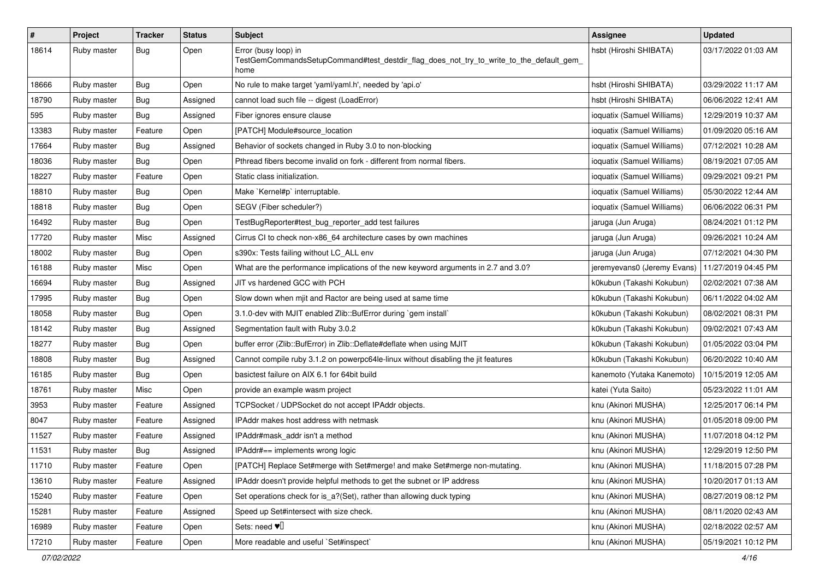| $\#$  | Project     | <b>Tracker</b> | <b>Status</b> | <b>Subject</b>                                                                                                          | <b>Assignee</b>             | <b>Updated</b>      |
|-------|-------------|----------------|---------------|-------------------------------------------------------------------------------------------------------------------------|-----------------------------|---------------------|
| 18614 | Ruby master | Bug            | Open          | Error (busy loop) in<br>TestGemCommandsSetupCommand#test_destdir_flag_does_not_try_to_write_to_the_default_gem_<br>home | hsbt (Hiroshi SHIBATA)      | 03/17/2022 01:03 AM |
| 18666 | Ruby master | Bug            | Open          | No rule to make target 'yaml/yaml.h', needed by 'api.o'                                                                 | hsbt (Hiroshi SHIBATA)      | 03/29/2022 11:17 AM |
| 18790 | Ruby master | <b>Bug</b>     | Assigned      | cannot load such file -- digest (LoadError)                                                                             | hsbt (Hiroshi SHIBATA)      | 06/06/2022 12:41 AM |
| 595   | Ruby master | Bug            | Assigned      | Fiber ignores ensure clause                                                                                             | ioquatix (Samuel Williams)  | 12/29/2019 10:37 AM |
| 13383 | Ruby master | Feature        | Open          | [PATCH] Module#source_location                                                                                          | ioquatix (Samuel Williams)  | 01/09/2020 05:16 AM |
| 17664 | Ruby master | Bug            | Assigned      | Behavior of sockets changed in Ruby 3.0 to non-blocking                                                                 | ioquatix (Samuel Williams)  | 07/12/2021 10:28 AM |
| 18036 | Ruby master | Bug            | Open          | Pthread fibers become invalid on fork - different from normal fibers.                                                   | ioquatix (Samuel Williams)  | 08/19/2021 07:05 AM |
| 18227 | Ruby master | Feature        | Open          | Static class initialization.                                                                                            | ioquatix (Samuel Williams)  | 09/29/2021 09:21 PM |
| 18810 | Ruby master | Bug            | Open          | Make `Kernel#p` interruptable.                                                                                          | ioquatix (Samuel Williams)  | 05/30/2022 12:44 AM |
| 18818 | Ruby master | <b>Bug</b>     | Open          | SEGV (Fiber scheduler?)                                                                                                 | ioquatix (Samuel Williams)  | 06/06/2022 06:31 PM |
| 16492 | Ruby master | <b>Bug</b>     | Open          | TestBugReporter#test_bug_reporter_add test failures                                                                     | jaruga (Jun Aruga)          | 08/24/2021 01:12 PM |
| 17720 | Ruby master | Misc           | Assigned      | Cirrus CI to check non-x86_64 architecture cases by own machines                                                        | jaruga (Jun Aruga)          | 09/26/2021 10:24 AM |
| 18002 | Ruby master | Bug            | Open          | s390x: Tests failing without LC_ALL env                                                                                 | jaruga (Jun Aruga)          | 07/12/2021 04:30 PM |
| 16188 | Ruby master | Misc           | Open          | What are the performance implications of the new keyword arguments in 2.7 and 3.0?                                      | jeremyevans0 (Jeremy Evans) | 11/27/2019 04:45 PM |
| 16694 | Ruby master | <b>Bug</b>     | Assigned      | JIT vs hardened GCC with PCH                                                                                            | k0kubun (Takashi Kokubun)   | 02/02/2021 07:38 AM |
| 17995 | Ruby master | <b>Bug</b>     | Open          | Slow down when mjit and Ractor are being used at same time                                                              | k0kubun (Takashi Kokubun)   | 06/11/2022 04:02 AM |
| 18058 | Ruby master | Bug            | Open          | 3.1.0-dev with MJIT enabled Zlib::BufError during `gem install`                                                         | k0kubun (Takashi Kokubun)   | 08/02/2021 08:31 PM |
| 18142 | Ruby master | Bug            | Assigned      | Segmentation fault with Ruby 3.0.2                                                                                      | k0kubun (Takashi Kokubun)   | 09/02/2021 07:43 AM |
| 18277 | Ruby master | Bug            | Open          | buffer error (Zlib::BufError) in Zlib::Deflate#deflate when using MJIT                                                  | k0kubun (Takashi Kokubun)   | 01/05/2022 03:04 PM |
| 18808 | Ruby master | <b>Bug</b>     | Assigned      | Cannot compile ruby 3.1.2 on powerpc64le-linux without disabling the jit features                                       | k0kubun (Takashi Kokubun)   | 06/20/2022 10:40 AM |
| 16185 | Ruby master | <b>Bug</b>     | Open          | basictest failure on AIX 6.1 for 64bit build                                                                            | kanemoto (Yutaka Kanemoto)  | 10/15/2019 12:05 AM |
| 18761 | Ruby master | Misc           | Open          | provide an example wasm project                                                                                         | katei (Yuta Saito)          | 05/23/2022 11:01 AM |
| 3953  | Ruby master | Feature        | Assigned      | TCPSocket / UDPSocket do not accept IPAddr objects.                                                                     | knu (Akinori MUSHA)         | 12/25/2017 06:14 PM |
| 8047  | Ruby master | Feature        | Assigned      | IPAddr makes host address with netmask                                                                                  | knu (Akinori MUSHA)         | 01/05/2018 09:00 PM |
| 11527 | Ruby master | Feature        | Assigned      | IPAddr#mask_addr isn't a method                                                                                         | knu (Akinori MUSHA)         | 11/07/2018 04:12 PM |
| 11531 | Ruby master | <b>Bug</b>     | Assigned      | IPAddr#== implements wrong logic                                                                                        | knu (Akinori MUSHA)         | 12/29/2019 12:50 PM |
| 11710 | Ruby master | Feature        | Open          | [PATCH] Replace Set#merge with Set#merge! and make Set#merge non-mutating.                                              | knu (Akinori MUSHA)         | 11/18/2015 07:28 PM |
| 13610 | Ruby master | Feature        | Assigned      | IPAddr doesn't provide helpful methods to get the subnet or IP address                                                  | knu (Akinori MUSHA)         | 10/20/2017 01:13 AM |
| 15240 | Ruby master | Feature        | Open          | Set operations check for is_a?(Set), rather than allowing duck typing                                                   | knu (Akinori MUSHA)         | 08/27/2019 08:12 PM |
| 15281 | Ruby master | Feature        | Assigned      | Speed up Set#intersect with size check.                                                                                 | knu (Akinori MUSHA)         | 08/11/2020 02:43 AM |
| 16989 | Ruby master | Feature        | Open          | Sets: need $\Psi$ <sup>[]</sup>                                                                                         | knu (Akinori MUSHA)         | 02/18/2022 02:57 AM |
| 17210 | Ruby master | Feature        | Open          | More readable and useful `Set#inspect`                                                                                  | knu (Akinori MUSHA)         | 05/19/2021 10:12 PM |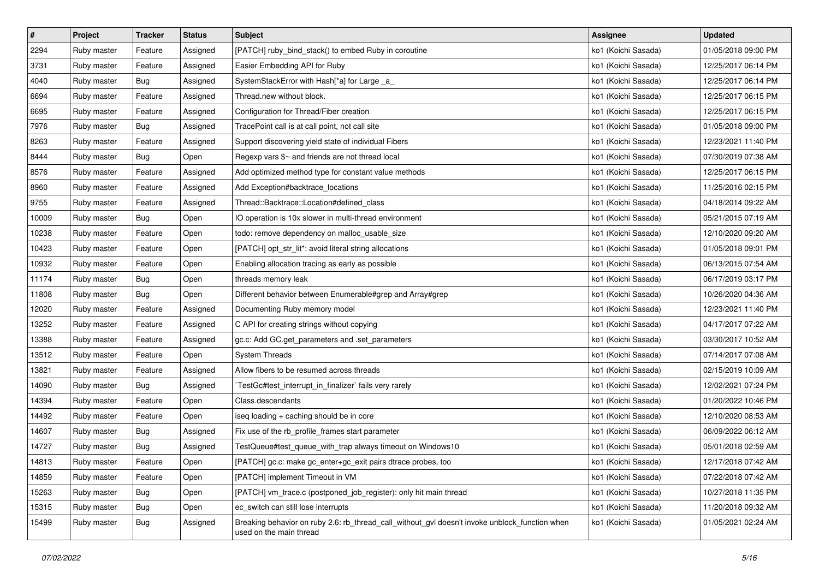| $\sharp$ | Project     | <b>Tracker</b> | <b>Status</b> | <b>Subject</b>                                                                                                            | <b>Assignee</b>     | <b>Updated</b>      |
|----------|-------------|----------------|---------------|---------------------------------------------------------------------------------------------------------------------------|---------------------|---------------------|
| 2294     | Ruby master | Feature        | Assigned      | [PATCH] ruby_bind_stack() to embed Ruby in coroutine                                                                      | ko1 (Koichi Sasada) | 01/05/2018 09:00 PM |
| 3731     | Ruby master | Feature        | Assigned      | Easier Embedding API for Ruby                                                                                             | ko1 (Koichi Sasada) | 12/25/2017 06:14 PM |
| 4040     | Ruby master | Bug            | Assigned      | SystemStackError with Hash[*a] for Large _a_                                                                              | ko1 (Koichi Sasada) | 12/25/2017 06:14 PM |
| 6694     | Ruby master | Feature        | Assigned      | Thread.new without block.                                                                                                 | ko1 (Koichi Sasada) | 12/25/2017 06:15 PM |
| 6695     | Ruby master | Feature        | Assigned      | Configuration for Thread/Fiber creation                                                                                   | ko1 (Koichi Sasada) | 12/25/2017 06:15 PM |
| 7976     | Ruby master | Bug            | Assigned      | TracePoint call is at call point, not call site                                                                           | ko1 (Koichi Sasada) | 01/05/2018 09:00 PM |
| 8263     | Ruby master | Feature        | Assigned      | Support discovering yield state of individual Fibers                                                                      | ko1 (Koichi Sasada) | 12/23/2021 11:40 PM |
| 8444     | Ruby master | Bug            | Open          | Regexp vars \$~ and friends are not thread local                                                                          | ko1 (Koichi Sasada) | 07/30/2019 07:38 AM |
| 8576     | Ruby master | Feature        | Assigned      | Add optimized method type for constant value methods                                                                      | ko1 (Koichi Sasada) | 12/25/2017 06:15 PM |
| 8960     | Ruby master | Feature        | Assigned      | Add Exception#backtrace_locations                                                                                         | ko1 (Koichi Sasada) | 11/25/2016 02:15 PM |
| 9755     | Ruby master | Feature        | Assigned      | Thread::Backtrace::Location#defined class                                                                                 | ko1 (Koichi Sasada) | 04/18/2014 09:22 AM |
| 10009    | Ruby master | <b>Bug</b>     | Open          | IO operation is 10x slower in multi-thread environment                                                                    | ko1 (Koichi Sasada) | 05/21/2015 07:19 AM |
| 10238    | Ruby master | Feature        | Open          | todo: remove dependency on malloc_usable_size                                                                             | ko1 (Koichi Sasada) | 12/10/2020 09:20 AM |
| 10423    | Ruby master | Feature        | Open          | [PATCH] opt_str_lit*: avoid literal string allocations                                                                    | ko1 (Koichi Sasada) | 01/05/2018 09:01 PM |
| 10932    | Ruby master | Feature        | Open          | Enabling allocation tracing as early as possible                                                                          | ko1 (Koichi Sasada) | 06/13/2015 07:54 AM |
| 11174    | Ruby master | Bug            | Open          | threads memory leak                                                                                                       | ko1 (Koichi Sasada) | 06/17/2019 03:17 PM |
| 11808    | Ruby master | Bug            | Open          | Different behavior between Enumerable#grep and Array#grep                                                                 | ko1 (Koichi Sasada) | 10/26/2020 04:36 AM |
| 12020    | Ruby master | Feature        | Assigned      | Documenting Ruby memory model                                                                                             | ko1 (Koichi Sasada) | 12/23/2021 11:40 PM |
| 13252    | Ruby master | Feature        | Assigned      | C API for creating strings without copying                                                                                | ko1 (Koichi Sasada) | 04/17/2017 07:22 AM |
| 13388    | Ruby master | Feature        | Assigned      | gc.c: Add GC.get_parameters and .set_parameters                                                                           | ko1 (Koichi Sasada) | 03/30/2017 10:52 AM |
| 13512    | Ruby master | Feature        | Open          | <b>System Threads</b>                                                                                                     | ko1 (Koichi Sasada) | 07/14/2017 07:08 AM |
| 13821    | Ruby master | Feature        | Assigned      | Allow fibers to be resumed across threads                                                                                 | ko1 (Koichi Sasada) | 02/15/2019 10:09 AM |
| 14090    | Ruby master | Bug            | Assigned      | TestGc#test_interrupt_in_finalizer`fails very rarely                                                                      | ko1 (Koichi Sasada) | 12/02/2021 07:24 PM |
| 14394    | Ruby master | Feature        | Open          | Class.descendants                                                                                                         | ko1 (Koichi Sasada) | 01/20/2022 10:46 PM |
| 14492    | Ruby master | Feature        | Open          | iseq loading + caching should be in core                                                                                  | ko1 (Koichi Sasada) | 12/10/2020 08:53 AM |
| 14607    | Ruby master | Bug            | Assigned      | Fix use of the rb_profile_frames start parameter                                                                          | ko1 (Koichi Sasada) | 06/09/2022 06:12 AM |
| 14727    | Ruby master | <b>Bug</b>     | Assigned      | TestQueue#test_queue_with_trap always timeout on Windows10                                                                | ko1 (Koichi Sasada) | 05/01/2018 02:59 AM |
| 14813    | Ruby master | Feature        | Open          | [PATCH] gc.c: make gc_enter+gc_exit pairs dtrace probes, too                                                              | ko1 (Koichi Sasada) | 12/17/2018 07:42 AM |
| 14859    | Ruby master | Feature        | Open          | [PATCH] implement Timeout in VM                                                                                           | ko1 (Koichi Sasada) | 07/22/2018 07:42 AM |
| 15263    | Ruby master | Bug            | Open          | [PATCH] vm trace.c (postponed job register): only hit main thread                                                         | ko1 (Koichi Sasada) | 10/27/2018 11:35 PM |
| 15315    | Ruby master | Bug            | Open          | ec_switch can still lose interrupts                                                                                       | ko1 (Koichi Sasada) | 11/20/2018 09:32 AM |
| 15499    | Ruby master | <b>Bug</b>     | Assigned      | Breaking behavior on ruby 2.6: rb thread call without gyl doesn't invoke unblock function when<br>used on the main thread | ko1 (Koichi Sasada) | 01/05/2021 02:24 AM |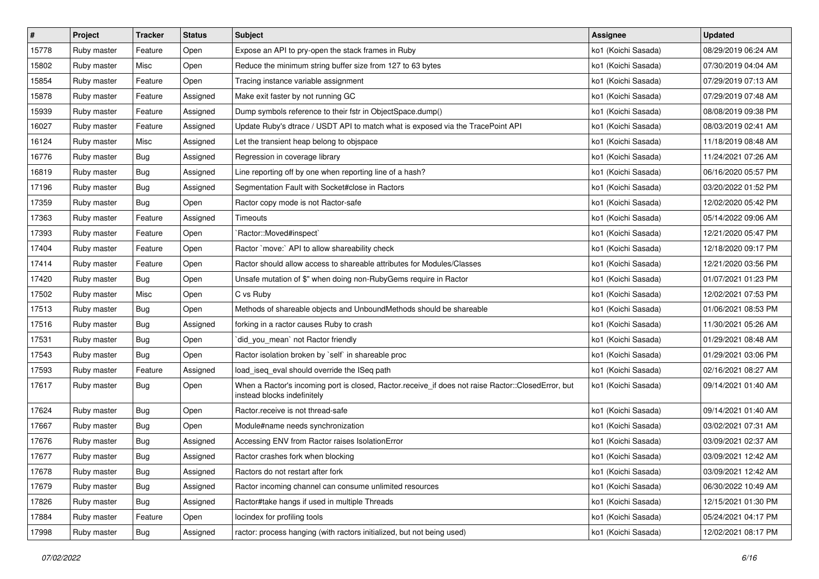| $\pmb{\#}$ | Project     | <b>Tracker</b> | <b>Status</b> | <b>Subject</b>                                                                                                                    | <b>Assignee</b>     | <b>Updated</b>      |
|------------|-------------|----------------|---------------|-----------------------------------------------------------------------------------------------------------------------------------|---------------------|---------------------|
| 15778      | Ruby master | Feature        | Open          | Expose an API to pry-open the stack frames in Ruby                                                                                | ko1 (Koichi Sasada) | 08/29/2019 06:24 AM |
| 15802      | Ruby master | Misc           | Open          | Reduce the minimum string buffer size from 127 to 63 bytes                                                                        | ko1 (Koichi Sasada) | 07/30/2019 04:04 AM |
| 15854      | Ruby master | Feature        | Open          | Tracing instance variable assignment                                                                                              | ko1 (Koichi Sasada) | 07/29/2019 07:13 AM |
| 15878      | Ruby master | Feature        | Assigned      | Make exit faster by not running GC                                                                                                | ko1 (Koichi Sasada) | 07/29/2019 07:48 AM |
| 15939      | Ruby master | Feature        | Assigned      | Dump symbols reference to their fstr in ObjectSpace.dump()                                                                        | ko1 (Koichi Sasada) | 08/08/2019 09:38 PM |
| 16027      | Ruby master | Feature        | Assigned      | Update Ruby's dtrace / USDT API to match what is exposed via the TracePoint API                                                   | ko1 (Koichi Sasada) | 08/03/2019 02:41 AM |
| 16124      | Ruby master | Misc           | Assigned      | Let the transient heap belong to objspace                                                                                         | ko1 (Koichi Sasada) | 11/18/2019 08:48 AM |
| 16776      | Ruby master | Bug            | Assigned      | Regression in coverage library                                                                                                    | ko1 (Koichi Sasada) | 11/24/2021 07:26 AM |
| 16819      | Ruby master | <b>Bug</b>     | Assigned      | Line reporting off by one when reporting line of a hash?                                                                          | ko1 (Koichi Sasada) | 06/16/2020 05:57 PM |
| 17196      | Ruby master | Bug            | Assigned      | Segmentation Fault with Socket#close in Ractors                                                                                   | ko1 (Koichi Sasada) | 03/20/2022 01:52 PM |
| 17359      | Ruby master | Bug            | Open          | Ractor copy mode is not Ractor-safe                                                                                               | ko1 (Koichi Sasada) | 12/02/2020 05:42 PM |
| 17363      | Ruby master | Feature        | Assigned      | Timeouts                                                                                                                          | ko1 (Koichi Sasada) | 05/14/2022 09:06 AM |
| 17393      | Ruby master | Feature        | Open          | Ractor::Moved#inspect`                                                                                                            | ko1 (Koichi Sasada) | 12/21/2020 05:47 PM |
| 17404      | Ruby master | Feature        | Open          | Ractor `move:` API to allow shareability check                                                                                    | ko1 (Koichi Sasada) | 12/18/2020 09:17 PM |
| 17414      | Ruby master | Feature        | Open          | Ractor should allow access to shareable attributes for Modules/Classes                                                            | ko1 (Koichi Sasada) | 12/21/2020 03:56 PM |
| 17420      | Ruby master | Bug            | Open          | Unsafe mutation of \$" when doing non-RubyGems require in Ractor                                                                  | ko1 (Koichi Sasada) | 01/07/2021 01:23 PM |
| 17502      | Ruby master | Misc           | Open          | C vs Ruby                                                                                                                         | ko1 (Koichi Sasada) | 12/02/2021 07:53 PM |
| 17513      | Ruby master | Bug            | Open          | Methods of shareable objects and UnboundMethods should be shareable                                                               | ko1 (Koichi Sasada) | 01/06/2021 08:53 PM |
| 17516      | Ruby master | <b>Bug</b>     | Assigned      | forking in a ractor causes Ruby to crash                                                                                          | ko1 (Koichi Sasada) | 11/30/2021 05:26 AM |
| 17531      | Ruby master | Bug            | Open          | `did_you_mean` not Ractor friendly                                                                                                | ko1 (Koichi Sasada) | 01/29/2021 08:48 AM |
| 17543      | Ruby master | <b>Bug</b>     | Open          | Ractor isolation broken by `self` in shareable proc                                                                               | ko1 (Koichi Sasada) | 01/29/2021 03:06 PM |
| 17593      | Ruby master | Feature        | Assigned      | load_iseq_eval should override the ISeq path                                                                                      | ko1 (Koichi Sasada) | 02/16/2021 08:27 AM |
| 17617      | Ruby master | Bug            | Open          | When a Ractor's incoming port is closed, Ractor.receive_if does not raise Ractor::ClosedError, but<br>instead blocks indefinitely | ko1 (Koichi Sasada) | 09/14/2021 01:40 AM |
| 17624      | Ruby master | Bug            | Open          | Ractor.receive is not thread-safe                                                                                                 | ko1 (Koichi Sasada) | 09/14/2021 01:40 AM |
| 17667      | Ruby master | Bug            | Open          | Module#name needs synchronization                                                                                                 | ko1 (Koichi Sasada) | 03/02/2021 07:31 AM |
| 17676      | Ruby master | Bug            | Assigned      | Accessing ENV from Ractor raises IsolationError                                                                                   | ko1 (Koichi Sasada) | 03/09/2021 02:37 AM |
| 17677      | Ruby master | <b>Bug</b>     | Assigned      | Ractor crashes fork when blocking                                                                                                 | ko1 (Koichi Sasada) | 03/09/2021 12:42 AM |
| 17678      | Ruby master | Bug            | Assigned      | Ractors do not restart after fork                                                                                                 | ko1 (Koichi Sasada) | 03/09/2021 12:42 AM |
| 17679      | Ruby master | Bug            | Assigned      | Ractor incoming channel can consume unlimited resources                                                                           | ko1 (Koichi Sasada) | 06/30/2022 10:49 AM |
| 17826      | Ruby master | <b>Bug</b>     | Assigned      | Ractor#take hangs if used in multiple Threads                                                                                     | ko1 (Koichi Sasada) | 12/15/2021 01:30 PM |
| 17884      | Ruby master | Feature        | Open          | locindex for profiling tools                                                                                                      | ko1 (Koichi Sasada) | 05/24/2021 04:17 PM |
| 17998      | Ruby master | <b>Bug</b>     | Assigned      | ractor: process hanging (with ractors initialized, but not being used)                                                            | ko1 (Koichi Sasada) | 12/02/2021 08:17 PM |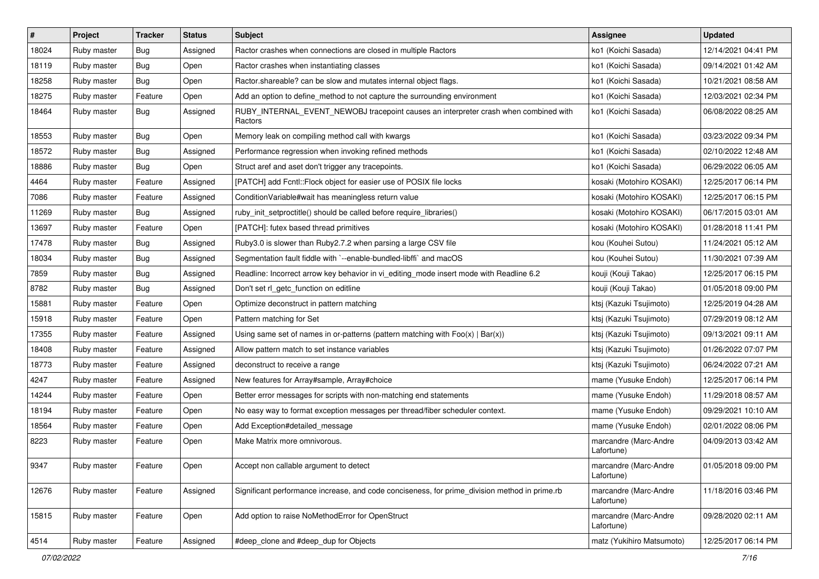| $\pmb{\#}$ | Project     | <b>Tracker</b> | <b>Status</b> | <b>Subject</b>                                                                                  | Assignee                            | <b>Updated</b>      |
|------------|-------------|----------------|---------------|-------------------------------------------------------------------------------------------------|-------------------------------------|---------------------|
| 18024      | Ruby master | Bug            | Assigned      | Ractor crashes when connections are closed in multiple Ractors                                  | ko1 (Koichi Sasada)                 | 12/14/2021 04:41 PM |
| 18119      | Ruby master | Bug            | Open          | Ractor crashes when instantiating classes                                                       | ko1 (Koichi Sasada)                 | 09/14/2021 01:42 AM |
| 18258      | Ruby master | Bug            | Open          | Ractor shareable? can be slow and mutates internal object flags.                                | ko1 (Koichi Sasada)                 | 10/21/2021 08:58 AM |
| 18275      | Ruby master | Feature        | Open          | Add an option to define_method to not capture the surrounding environment                       | ko1 (Koichi Sasada)                 | 12/03/2021 02:34 PM |
| 18464      | Ruby master | Bug            | Assigned      | RUBY_INTERNAL_EVENT_NEWOBJ tracepoint causes an interpreter crash when combined with<br>Ractors | ko1 (Koichi Sasada)                 | 06/08/2022 08:25 AM |
| 18553      | Ruby master | Bug            | Open          | Memory leak on compiling method call with kwargs                                                | ko1 (Koichi Sasada)                 | 03/23/2022 09:34 PM |
| 18572      | Ruby master | Bug            | Assigned      | Performance regression when invoking refined methods                                            | ko1 (Koichi Sasada)                 | 02/10/2022 12:48 AM |
| 18886      | Ruby master | Bug            | Open          | Struct aref and aset don't trigger any tracepoints.                                             | ko1 (Koichi Sasada)                 | 06/29/2022 06:05 AM |
| 4464       | Ruby master | Feature        | Assigned      | [PATCH] add Fcntl::Flock object for easier use of POSIX file locks                              | kosaki (Motohiro KOSAKI)            | 12/25/2017 06:14 PM |
| 7086       | Ruby master | Feature        | Assigned      | Condition Variable#wait has meaningless return value                                            | kosaki (Motohiro KOSAKI)            | 12/25/2017 06:15 PM |
| 11269      | Ruby master | Bug            | Assigned      | ruby_init_setproctitle() should be called before require_libraries()                            | kosaki (Motohiro KOSAKI)            | 06/17/2015 03:01 AM |
| 13697      | Ruby master | Feature        | Open          | [PATCH]: futex based thread primitives                                                          | kosaki (Motohiro KOSAKI)            | 01/28/2018 11:41 PM |
| 17478      | Ruby master | Bug            | Assigned      | Ruby3.0 is slower than Ruby2.7.2 when parsing a large CSV file                                  | kou (Kouhei Sutou)                  | 11/24/2021 05:12 AM |
| 18034      | Ruby master | Bug            | Assigned      | Segmentation fault fiddle with `--enable-bundled-libffi` and macOS                              | kou (Kouhei Sutou)                  | 11/30/2021 07:39 AM |
| 7859       | Ruby master | Bug            | Assigned      | Readline: Incorrect arrow key behavior in vi_editing_mode insert mode with Readline 6.2         | kouji (Kouji Takao)                 | 12/25/2017 06:15 PM |
| 8782       | Ruby master | Bug            | Assigned      | Don't set rl_getc_function on editline                                                          | kouji (Kouji Takao)                 | 01/05/2018 09:00 PM |
| 15881      | Ruby master | Feature        | Open          | Optimize deconstruct in pattern matching                                                        | ktsj (Kazuki Tsujimoto)             | 12/25/2019 04:28 AM |
| 15918      | Ruby master | Feature        | Open          | Pattern matching for Set                                                                        | ktsj (Kazuki Tsujimoto)             | 07/29/2019 08:12 AM |
| 17355      | Ruby master | Feature        | Assigned      | Using same set of names in or-patterns (pattern matching with $Foo(x)   Bar(x)$ )               | ktsj (Kazuki Tsujimoto)             | 09/13/2021 09:11 AM |
| 18408      | Ruby master | Feature        | Assigned      | Allow pattern match to set instance variables                                                   | ktsj (Kazuki Tsujimoto)             | 01/26/2022 07:07 PM |
| 18773      | Ruby master | Feature        | Assigned      | deconstruct to receive a range                                                                  | ktsj (Kazuki Tsujimoto)             | 06/24/2022 07:21 AM |
| 4247       | Ruby master | Feature        | Assigned      | New features for Array#sample, Array#choice                                                     | mame (Yusuke Endoh)                 | 12/25/2017 06:14 PM |
| 14244      | Ruby master | Feature        | Open          | Better error messages for scripts with non-matching end statements                              | mame (Yusuke Endoh)                 | 11/29/2018 08:57 AM |
| 18194      | Ruby master | Feature        | Open          | No easy way to format exception messages per thread/fiber scheduler context.                    | mame (Yusuke Endoh)                 | 09/29/2021 10:10 AM |
| 18564      | Ruby master | Feature        | Open          | Add Exception#detailed_message                                                                  | mame (Yusuke Endoh)                 | 02/01/2022 08:06 PM |
| 8223       | Ruby master | Feature        | Open          | Make Matrix more omnivorous.                                                                    | marcandre (Marc-Andre<br>Lafortune) | 04/09/2013 03:42 AM |
| 9347       | Ruby master | Feature        | Open          | Accept non callable argument to detect                                                          | marcandre (Marc-Andre<br>Lafortune) | 01/05/2018 09:00 PM |
| 12676      | Ruby master | Feature        | Assigned      | Significant performance increase, and code conciseness, for prime_division method in prime.rb   | marcandre (Marc-Andre<br>Lafortune) | 11/18/2016 03:46 PM |
| 15815      | Ruby master | Feature        | Open          | Add option to raise NoMethodError for OpenStruct                                                | marcandre (Marc-Andre<br>Lafortune) | 09/28/2020 02:11 AM |
| 4514       | Ruby master | Feature        | Assigned      | #deep_clone and #deep_dup for Objects                                                           | matz (Yukihiro Matsumoto)           | 12/25/2017 06:14 PM |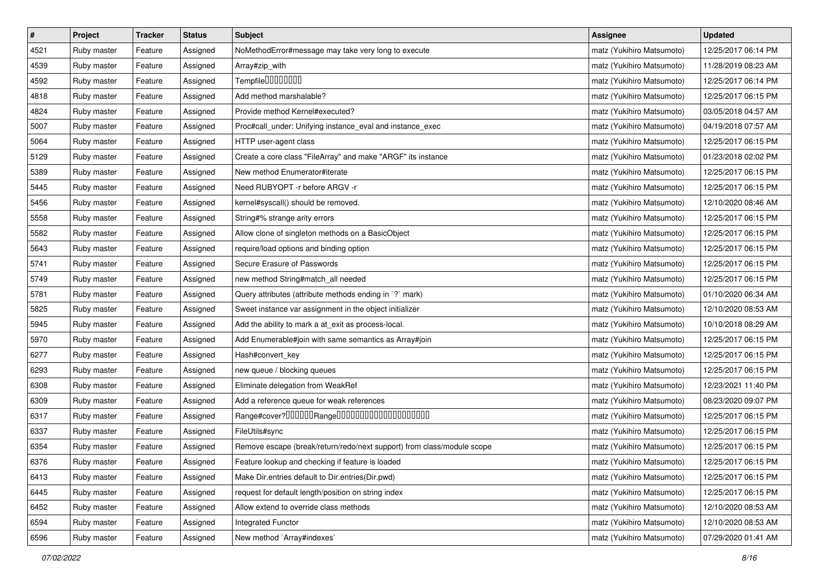| $\vert$ # | Project     | <b>Tracker</b> | <b>Status</b> | <b>Subject</b>                                                         | <b>Assignee</b>           | <b>Updated</b>      |
|-----------|-------------|----------------|---------------|------------------------------------------------------------------------|---------------------------|---------------------|
| 4521      | Ruby master | Feature        | Assigned      | NoMethodError#message may take very long to execute                    | matz (Yukihiro Matsumoto) | 12/25/2017 06:14 PM |
| 4539      | Ruby master | Feature        | Assigned      | Array#zip_with                                                         | matz (Yukihiro Matsumoto) | 11/28/2019 08:23 AM |
| 4592      | Ruby master | Feature        | Assigned      | Tempfile0000000                                                        | matz (Yukihiro Matsumoto) | 12/25/2017 06:14 PM |
| 4818      | Ruby master | Feature        | Assigned      | Add method marshalable?                                                | matz (Yukihiro Matsumoto) | 12/25/2017 06:15 PM |
| 4824      | Ruby master | Feature        | Assigned      | Provide method Kernel#executed?                                        | matz (Yukihiro Matsumoto) | 03/05/2018 04:57 AM |
| 5007      | Ruby master | Feature        | Assigned      | Proc#call_under: Unifying instance_eval and instance_exec              | matz (Yukihiro Matsumoto) | 04/19/2018 07:57 AM |
| 5064      | Ruby master | Feature        | Assigned      | HTTP user-agent class                                                  | matz (Yukihiro Matsumoto) | 12/25/2017 06:15 PM |
| 5129      | Ruby master | Feature        | Assigned      | Create a core class "FileArray" and make "ARGF" its instance           | matz (Yukihiro Matsumoto) | 01/23/2018 02:02 PM |
| 5389      | Ruby master | Feature        | Assigned      | New method Enumerator#iterate                                          | matz (Yukihiro Matsumoto) | 12/25/2017 06:15 PM |
| 5445      | Ruby master | Feature        | Assigned      | Need RUBYOPT - r before ARGV - r                                       | matz (Yukihiro Matsumoto) | 12/25/2017 06:15 PM |
| 5456      | Ruby master | Feature        | Assigned      | kernel#syscall() should be removed.                                    | matz (Yukihiro Matsumoto) | 12/10/2020 08:46 AM |
| 5558      | Ruby master | Feature        | Assigned      | String#% strange arity errors                                          | matz (Yukihiro Matsumoto) | 12/25/2017 06:15 PM |
| 5582      | Ruby master | Feature        | Assigned      | Allow clone of singleton methods on a BasicObject                      | matz (Yukihiro Matsumoto) | 12/25/2017 06:15 PM |
| 5643      | Ruby master | Feature        | Assigned      | require/load options and binding option                                | matz (Yukihiro Matsumoto) | 12/25/2017 06:15 PM |
| 5741      | Ruby master | Feature        | Assigned      | Secure Erasure of Passwords                                            | matz (Yukihiro Matsumoto) | 12/25/2017 06:15 PM |
| 5749      | Ruby master | Feature        | Assigned      | new method String#match_all needed                                     | matz (Yukihiro Matsumoto) | 12/25/2017 06:15 PM |
| 5781      | Ruby master | Feature        | Assigned      | Query attributes (attribute methods ending in '?' mark)                | matz (Yukihiro Matsumoto) | 01/10/2020 06:34 AM |
| 5825      | Ruby master | Feature        | Assigned      | Sweet instance var assignment in the object initializer                | matz (Yukihiro Matsumoto) | 12/10/2020 08:53 AM |
| 5945      | Ruby master | Feature        | Assigned      | Add the ability to mark a at_exit as process-local.                    | matz (Yukihiro Matsumoto) | 10/10/2018 08:29 AM |
| 5970      | Ruby master | Feature        | Assigned      | Add Enumerable#join with same semantics as Array#join                  | matz (Yukihiro Matsumoto) | 12/25/2017 06:15 PM |
| 6277      | Ruby master | Feature        | Assigned      | Hash#convert_key                                                       | matz (Yukihiro Matsumoto) | 12/25/2017 06:15 PM |
| 6293      | Ruby master | Feature        | Assigned      | new queue / blocking queues                                            | matz (Yukihiro Matsumoto) | 12/25/2017 06:15 PM |
| 6308      | Ruby master | Feature        | Assigned      | Eliminate delegation from WeakRef                                      | matz (Yukihiro Matsumoto) | 12/23/2021 11:40 PM |
| 6309      | Ruby master | Feature        | Assigned      | Add a reference queue for weak references                              | matz (Yukihiro Matsumoto) | 08/23/2020 09:07 PM |
| 6317      | Ruby master | Feature        | Assigned      | Range#cover?000000Range00000000000000000000                            | matz (Yukihiro Matsumoto) | 12/25/2017 06:15 PM |
| 6337      | Ruby master | Feature        | Assigned      | FileUtils#sync                                                         | matz (Yukihiro Matsumoto) | 12/25/2017 06:15 PM |
| 6354      | Ruby master | Feature        | Assigned      | Remove escape (break/return/redo/next support) from class/module scope | matz (Yukihiro Matsumoto) | 12/25/2017 06:15 PM |
| 6376      | Ruby master | Feature        | Assigned      | Feature lookup and checking if feature is loaded                       | matz (Yukihiro Matsumoto) | 12/25/2017 06:15 PM |
| 6413      | Ruby master | Feature        | Assigned      | Make Dir.entries default to Dir.entries(Dir.pwd)                       | matz (Yukihiro Matsumoto) | 12/25/2017 06:15 PM |
| 6445      | Ruby master | Feature        | Assigned      | request for default length/position on string index                    | matz (Yukihiro Matsumoto) | 12/25/2017 06:15 PM |
| 6452      | Ruby master | Feature        | Assigned      | Allow extend to override class methods                                 | matz (Yukihiro Matsumoto) | 12/10/2020 08:53 AM |
| 6594      | Ruby master | Feature        | Assigned      | <b>Integrated Functor</b>                                              | matz (Yukihiro Matsumoto) | 12/10/2020 08:53 AM |
| 6596      | Ruby master | Feature        | Assigned      | New method `Array#indexes`                                             | matz (Yukihiro Matsumoto) | 07/29/2020 01:41 AM |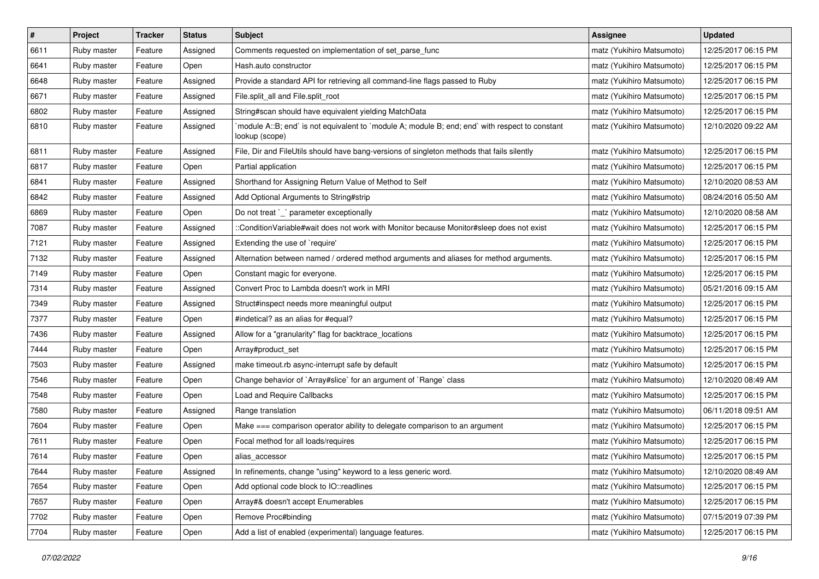| $\pmb{\#}$ | Project     | <b>Tracker</b> | <b>Status</b> | Subject                                                                                                          | <b>Assignee</b>           | <b>Updated</b>      |
|------------|-------------|----------------|---------------|------------------------------------------------------------------------------------------------------------------|---------------------------|---------------------|
| 6611       | Ruby master | Feature        | Assigned      | Comments requested on implementation of set_parse_func                                                           | matz (Yukihiro Matsumoto) | 12/25/2017 06:15 PM |
| 6641       | Ruby master | Feature        | Open          | Hash.auto constructor                                                                                            | matz (Yukihiro Matsumoto) | 12/25/2017 06:15 PM |
| 6648       | Ruby master | Feature        | Assigned      | Provide a standard API for retrieving all command-line flags passed to Ruby                                      | matz (Yukihiro Matsumoto) | 12/25/2017 06:15 PM |
| 6671       | Ruby master | Feature        | Assigned      | File.split_all and File.split_root                                                                               | matz (Yukihiro Matsumoto) | 12/25/2017 06:15 PM |
| 6802       | Ruby master | Feature        | Assigned      | String#scan should have equivalent yielding MatchData                                                            | matz (Yukihiro Matsumoto) | 12/25/2017 06:15 PM |
| 6810       | Ruby master | Feature        | Assigned      | module A::B; end` is not equivalent to `module A; module B; end; end` with respect to constant<br>lookup (scope) | matz (Yukihiro Matsumoto) | 12/10/2020 09:22 AM |
| 6811       | Ruby master | Feature        | Assigned      | File, Dir and FileUtils should have bang-versions of singleton methods that fails silently                       | matz (Yukihiro Matsumoto) | 12/25/2017 06:15 PM |
| 6817       | Ruby master | Feature        | Open          | Partial application                                                                                              | matz (Yukihiro Matsumoto) | 12/25/2017 06:15 PM |
| 6841       | Ruby master | Feature        | Assigned      | Shorthand for Assigning Return Value of Method to Self                                                           | matz (Yukihiro Matsumoto) | 12/10/2020 08:53 AM |
| 6842       | Ruby master | Feature        | Assigned      | Add Optional Arguments to String#strip                                                                           | matz (Yukihiro Matsumoto) | 08/24/2016 05:50 AM |
| 6869       | Ruby master | Feature        | Open          | Do not treat `_` parameter exceptionally                                                                         | matz (Yukihiro Matsumoto) | 12/10/2020 08:58 AM |
| 7087       | Ruby master | Feature        | Assigned      | ::ConditionVariable#wait does not work with Monitor because Monitor#sleep does not exist                         | matz (Yukihiro Matsumoto) | 12/25/2017 06:15 PM |
| 7121       | Ruby master | Feature        | Assigned      | Extending the use of `require'                                                                                   | matz (Yukihiro Matsumoto) | 12/25/2017 06:15 PM |
| 7132       | Ruby master | Feature        | Assigned      | Alternation between named / ordered method arguments and aliases for method arguments.                           | matz (Yukihiro Matsumoto) | 12/25/2017 06:15 PM |
| 7149       | Ruby master | Feature        | Open          | Constant magic for everyone.                                                                                     | matz (Yukihiro Matsumoto) | 12/25/2017 06:15 PM |
| 7314       | Ruby master | Feature        | Assigned      | Convert Proc to Lambda doesn't work in MRI                                                                       | matz (Yukihiro Matsumoto) | 05/21/2016 09:15 AM |
| 7349       | Ruby master | Feature        | Assigned      | Struct#inspect needs more meaningful output                                                                      | matz (Yukihiro Matsumoto) | 12/25/2017 06:15 PM |
| 7377       | Ruby master | Feature        | Open          | #indetical? as an alias for #equal?                                                                              | matz (Yukihiro Matsumoto) | 12/25/2017 06:15 PM |
| 7436       | Ruby master | Feature        | Assigned      | Allow for a "granularity" flag for backtrace_locations                                                           | matz (Yukihiro Matsumoto) | 12/25/2017 06:15 PM |
| 7444       | Ruby master | Feature        | Open          | Array#product_set                                                                                                | matz (Yukihiro Matsumoto) | 12/25/2017 06:15 PM |
| 7503       | Ruby master | Feature        | Assigned      | make timeout.rb async-interrupt safe by default                                                                  | matz (Yukihiro Matsumoto) | 12/25/2017 06:15 PM |
| 7546       | Ruby master | Feature        | Open          | Change behavior of `Array#slice` for an argument of `Range` class                                                | matz (Yukihiro Matsumoto) | 12/10/2020 08:49 AM |
| 7548       | Ruby master | Feature        | Open          | Load and Require Callbacks                                                                                       | matz (Yukihiro Matsumoto) | 12/25/2017 06:15 PM |
| 7580       | Ruby master | Feature        | Assigned      | Range translation                                                                                                | matz (Yukihiro Matsumoto) | 06/11/2018 09:51 AM |
| 7604       | Ruby master | Feature        | Open          | Make === comparison operator ability to delegate comparison to an argument                                       | matz (Yukihiro Matsumoto) | 12/25/2017 06:15 PM |
| 7611       | Ruby master | Feature        | Open          | Focal method for all loads/requires                                                                              | matz (Yukihiro Matsumoto) | 12/25/2017 06:15 PM |
| 7614       | Ruby master | Feature        | Open          | alias_accessor                                                                                                   | matz (Yukihiro Matsumoto) | 12/25/2017 06:15 PM |
| 7644       | Ruby master | Feature        | Assigned      | In refinements, change "using" keyword to a less generic word.                                                   | matz (Yukihiro Matsumoto) | 12/10/2020 08:49 AM |
| 7654       | Ruby master | Feature        | Open          | Add optional code block to IO::readlines                                                                         | matz (Yukihiro Matsumoto) | 12/25/2017 06:15 PM |
| 7657       | Ruby master | Feature        | Open          | Array#& doesn't accept Enumerables                                                                               | matz (Yukihiro Matsumoto) | 12/25/2017 06:15 PM |
| 7702       | Ruby master | Feature        | Open          | Remove Proc#binding                                                                                              | matz (Yukihiro Matsumoto) | 07/15/2019 07:39 PM |
| 7704       | Ruby master | Feature        | Open          | Add a list of enabled (experimental) language features.                                                          | matz (Yukihiro Matsumoto) | 12/25/2017 06:15 PM |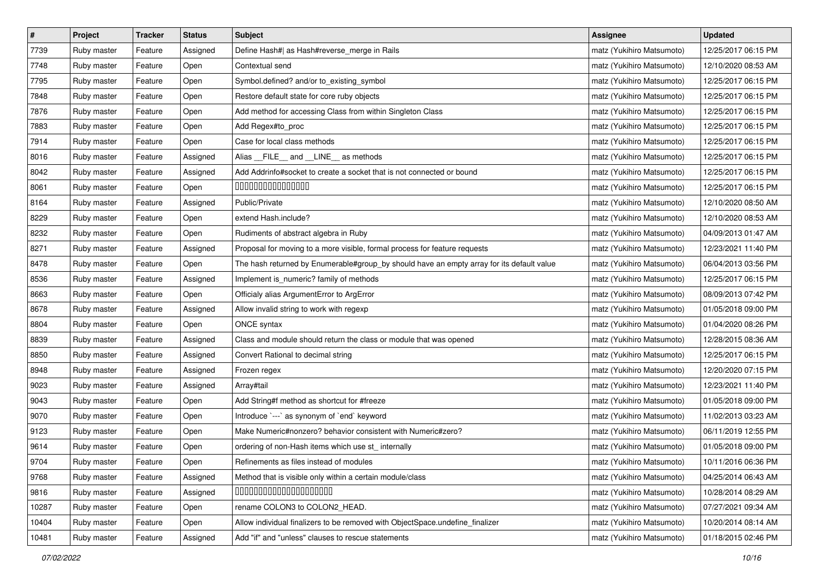| $\pmb{\#}$ | Project     | <b>Tracker</b> | <b>Status</b> | Subject                                                                                   | Assignee                  | <b>Updated</b>      |
|------------|-------------|----------------|---------------|-------------------------------------------------------------------------------------------|---------------------------|---------------------|
| 7739       | Ruby master | Feature        | Assigned      | Define Hash#  as Hash#reverse_merge in Rails                                              | matz (Yukihiro Matsumoto) | 12/25/2017 06:15 PM |
| 7748       | Ruby master | Feature        | Open          | Contextual send                                                                           | matz (Yukihiro Matsumoto) | 12/10/2020 08:53 AM |
| 7795       | Ruby master | Feature        | Open          | Symbol.defined? and/or to_existing_symbol                                                 | matz (Yukihiro Matsumoto) | 12/25/2017 06:15 PM |
| 7848       | Ruby master | Feature        | Open          | Restore default state for core ruby objects                                               | matz (Yukihiro Matsumoto) | 12/25/2017 06:15 PM |
| 7876       | Ruby master | Feature        | Open          | Add method for accessing Class from within Singleton Class                                | matz (Yukihiro Matsumoto) | 12/25/2017 06:15 PM |
| 7883       | Ruby master | Feature        | Open          | Add Regex#to_proc                                                                         | matz (Yukihiro Matsumoto) | 12/25/2017 06:15 PM |
| 7914       | Ruby master | Feature        | Open          | Case for local class methods                                                              | matz (Yukihiro Matsumoto) | 12/25/2017 06:15 PM |
| 8016       | Ruby master | Feature        | Assigned      | Alias _FILE_ and _LINE_ as methods                                                        | matz (Yukihiro Matsumoto) | 12/25/2017 06:15 PM |
| 8042       | Ruby master | Feature        | Assigned      | Add Addrinfo#socket to create a socket that is not connected or bound                     | matz (Yukihiro Matsumoto) | 12/25/2017 06:15 PM |
| 8061       | Ruby master | Feature        | Open          | 00000000000000                                                                            | matz (Yukihiro Matsumoto) | 12/25/2017 06:15 PM |
| 8164       | Ruby master | Feature        | Assigned      | Public/Private                                                                            | matz (Yukihiro Matsumoto) | 12/10/2020 08:50 AM |
| 8229       | Ruby master | Feature        | Open          | extend Hash.include?                                                                      | matz (Yukihiro Matsumoto) | 12/10/2020 08:53 AM |
| 8232       | Ruby master | Feature        | Open          | Rudiments of abstract algebra in Ruby                                                     | matz (Yukihiro Matsumoto) | 04/09/2013 01:47 AM |
| 8271       | Ruby master | Feature        | Assigned      | Proposal for moving to a more visible, formal process for feature requests                | matz (Yukihiro Matsumoto) | 12/23/2021 11:40 PM |
| 8478       | Ruby master | Feature        | Open          | The hash returned by Enumerable#group_by should have an empty array for its default value | matz (Yukihiro Matsumoto) | 06/04/2013 03:56 PM |
| 8536       | Ruby master | Feature        | Assigned      | Implement is_numeric? family of methods                                                   | matz (Yukihiro Matsumoto) | 12/25/2017 06:15 PM |
| 8663       | Ruby master | Feature        | Open          | Officialy alias ArgumentError to ArgError                                                 | matz (Yukihiro Matsumoto) | 08/09/2013 07:42 PM |
| 8678       | Ruby master | Feature        | Assigned      | Allow invalid string to work with regexp                                                  | matz (Yukihiro Matsumoto) | 01/05/2018 09:00 PM |
| 8804       | Ruby master | Feature        | Open          | ONCE syntax                                                                               | matz (Yukihiro Matsumoto) | 01/04/2020 08:26 PM |
| 8839       | Ruby master | Feature        | Assigned      | Class and module should return the class or module that was opened                        | matz (Yukihiro Matsumoto) | 12/28/2015 08:36 AM |
| 8850       | Ruby master | Feature        | Assigned      | Convert Rational to decimal string                                                        | matz (Yukihiro Matsumoto) | 12/25/2017 06:15 PM |
| 8948       | Ruby master | Feature        | Assigned      | Frozen regex                                                                              | matz (Yukihiro Matsumoto) | 12/20/2020 07:15 PM |
| 9023       | Ruby master | Feature        | Assigned      | Array#tail                                                                                | matz (Yukihiro Matsumoto) | 12/23/2021 11:40 PM |
| 9043       | Ruby master | Feature        | Open          | Add String#f method as shortcut for #freeze                                               | matz (Yukihiro Matsumoto) | 01/05/2018 09:00 PM |
| 9070       | Ruby master | Feature        | Open          | Introduce `---` as synonym of `end` keyword                                               | matz (Yukihiro Matsumoto) | 11/02/2013 03:23 AM |
| 9123       | Ruby master | Feature        | Open          | Make Numeric#nonzero? behavior consistent with Numeric#zero?                              | matz (Yukihiro Matsumoto) | 06/11/2019 12:55 PM |
| 9614       | Ruby master | Feature        | Open          | ordering of non-Hash items which use st_ internally                                       | matz (Yukihiro Matsumoto) | 01/05/2018 09:00 PM |
| 9704       | Ruby master | Feature        | Open          | Refinements as files instead of modules                                                   | matz (Yukihiro Matsumoto) | 10/11/2016 06:36 PM |
| 9768       | Ruby master | Feature        | Assigned      | Method that is visible only within a certain module/class                                 | matz (Yukihiro Matsumoto) | 04/25/2014 06:43 AM |
| 9816       | Ruby master | Feature        | Assigned      | 00000000000000000000                                                                      | matz (Yukihiro Matsumoto) | 10/28/2014 08:29 AM |
| 10287      | Ruby master | Feature        | Open          | rename COLON3 to COLON2_HEAD.                                                             | matz (Yukihiro Matsumoto) | 07/27/2021 09:34 AM |
| 10404      | Ruby master | Feature        | Open          | Allow individual finalizers to be removed with ObjectSpace.undefine finalizer             | matz (Yukihiro Matsumoto) | 10/20/2014 08:14 AM |
| 10481      | Ruby master | Feature        | Assigned      | Add "if" and "unless" clauses to rescue statements                                        | matz (Yukihiro Matsumoto) | 01/18/2015 02:46 PM |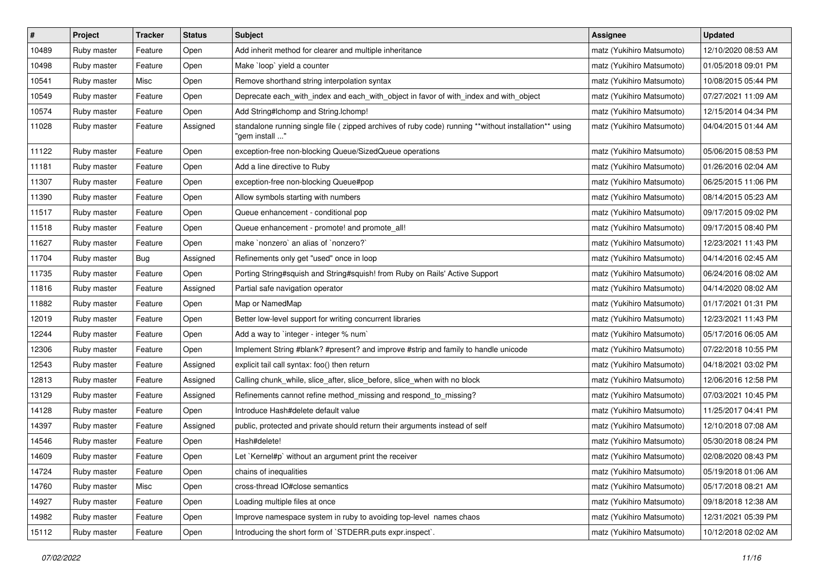| $\pmb{\#}$ | Project     | <b>Tracker</b> | <b>Status</b> | <b>Subject</b>                                                                                                          | <b>Assignee</b>           | <b>Updated</b>      |
|------------|-------------|----------------|---------------|-------------------------------------------------------------------------------------------------------------------------|---------------------------|---------------------|
| 10489      | Ruby master | Feature        | Open          | Add inherit method for clearer and multiple inheritance                                                                 | matz (Yukihiro Matsumoto) | 12/10/2020 08:53 AM |
| 10498      | Ruby master | Feature        | Open          | Make `loop` yield a counter                                                                                             | matz (Yukihiro Matsumoto) | 01/05/2018 09:01 PM |
| 10541      | Ruby master | Misc           | Open          | Remove shorthand string interpolation syntax                                                                            | matz (Yukihiro Matsumoto) | 10/08/2015 05:44 PM |
| 10549      | Ruby master | Feature        | Open          | Deprecate each_with_index and each_with_object in favor of with_index and with_object                                   | matz (Yukihiro Matsumoto) | 07/27/2021 11:09 AM |
| 10574      | Ruby master | Feature        | Open          | Add String#Ichomp and String.Ichomp!                                                                                    | matz (Yukihiro Matsumoto) | 12/15/2014 04:34 PM |
| 11028      | Ruby master | Feature        | Assigned      | standalone running single file ( zipped archives of ruby code) running **without installation** using<br>'gem install " | matz (Yukihiro Matsumoto) | 04/04/2015 01:44 AM |
| 11122      | Ruby master | Feature        | Open          | exception-free non-blocking Queue/SizedQueue operations                                                                 | matz (Yukihiro Matsumoto) | 05/06/2015 08:53 PM |
| 11181      | Ruby master | Feature        | Open          | Add a line directive to Ruby                                                                                            | matz (Yukihiro Matsumoto) | 01/26/2016 02:04 AM |
| 11307      | Ruby master | Feature        | Open          | exception-free non-blocking Queue#pop                                                                                   | matz (Yukihiro Matsumoto) | 06/25/2015 11:06 PM |
| 11390      | Ruby master | Feature        | Open          | Allow symbols starting with numbers                                                                                     | matz (Yukihiro Matsumoto) | 08/14/2015 05:23 AM |
| 11517      | Ruby master | Feature        | Open          | Queue enhancement - conditional pop                                                                                     | matz (Yukihiro Matsumoto) | 09/17/2015 09:02 PM |
| 11518      | Ruby master | Feature        | Open          | Queue enhancement - promote! and promote_all!                                                                           | matz (Yukihiro Matsumoto) | 09/17/2015 08:40 PM |
| 11627      | Ruby master | Feature        | Open          | make 'nonzero' an alias of 'nonzero?'                                                                                   | matz (Yukihiro Matsumoto) | 12/23/2021 11:43 PM |
| 11704      | Ruby master | Bug            | Assigned      | Refinements only get "used" once in loop                                                                                | matz (Yukihiro Matsumoto) | 04/14/2016 02:45 AM |
| 11735      | Ruby master | Feature        | Open          | Porting String#squish and String#squish! from Ruby on Rails' Active Support                                             | matz (Yukihiro Matsumoto) | 06/24/2016 08:02 AM |
| 11816      | Ruby master | Feature        | Assigned      | Partial safe navigation operator                                                                                        | matz (Yukihiro Matsumoto) | 04/14/2020 08:02 AM |
| 11882      | Ruby master | Feature        | Open          | Map or NamedMap                                                                                                         | matz (Yukihiro Matsumoto) | 01/17/2021 01:31 PM |
| 12019      | Ruby master | Feature        | Open          | Better low-level support for writing concurrent libraries                                                               | matz (Yukihiro Matsumoto) | 12/23/2021 11:43 PM |
| 12244      | Ruby master | Feature        | Open          | Add a way to 'integer - integer % num'                                                                                  | matz (Yukihiro Matsumoto) | 05/17/2016 06:05 AM |
| 12306      | Ruby master | Feature        | Open          | Implement String #blank? #present? and improve #strip and family to handle unicode                                      | matz (Yukihiro Matsumoto) | 07/22/2018 10:55 PM |
| 12543      | Ruby master | Feature        | Assigned      | explicit tail call syntax: foo() then return                                                                            | matz (Yukihiro Matsumoto) | 04/18/2021 03:02 PM |
| 12813      | Ruby master | Feature        | Assigned      | Calling chunk_while, slice_after, slice_before, slice_when with no block                                                | matz (Yukihiro Matsumoto) | 12/06/2016 12:58 PM |
| 13129      | Ruby master | Feature        | Assigned      | Refinements cannot refine method_missing and respond_to_missing?                                                        | matz (Yukihiro Matsumoto) | 07/03/2021 10:45 PM |
| 14128      | Ruby master | Feature        | Open          | Introduce Hash#delete default value                                                                                     | matz (Yukihiro Matsumoto) | 11/25/2017 04:41 PM |
| 14397      | Ruby master | Feature        | Assigned      | public, protected and private should return their arguments instead of self                                             | matz (Yukihiro Matsumoto) | 12/10/2018 07:08 AM |
| 14546      | Ruby master | Feature        | Open          | Hash#delete!                                                                                                            | matz (Yukihiro Matsumoto) | 05/30/2018 08:24 PM |
| 14609      | Ruby master | Feature        | Open          | Let `Kernel#p` without an argument print the receiver                                                                   | matz (Yukihiro Matsumoto) | 02/08/2020 08:43 PM |
| 14724      | Ruby master | Feature        | Open          | chains of inequalities                                                                                                  | matz (Yukihiro Matsumoto) | 05/19/2018 01:06 AM |
| 14760      | Ruby master | Misc           | Open          | cross-thread IO#close semantics                                                                                         | matz (Yukihiro Matsumoto) | 05/17/2018 08:21 AM |
| 14927      | Ruby master | Feature        | Open          | Loading multiple files at once                                                                                          | matz (Yukihiro Matsumoto) | 09/18/2018 12:38 AM |
| 14982      | Ruby master | Feature        | Open          | Improve namespace system in ruby to avoiding top-level names chaos                                                      | matz (Yukihiro Matsumoto) | 12/31/2021 05:39 PM |
| 15112      | Ruby master | Feature        | Open          | Introducing the short form of `STDERR.puts expr.inspect`.                                                               | matz (Yukihiro Matsumoto) | 10/12/2018 02:02 AM |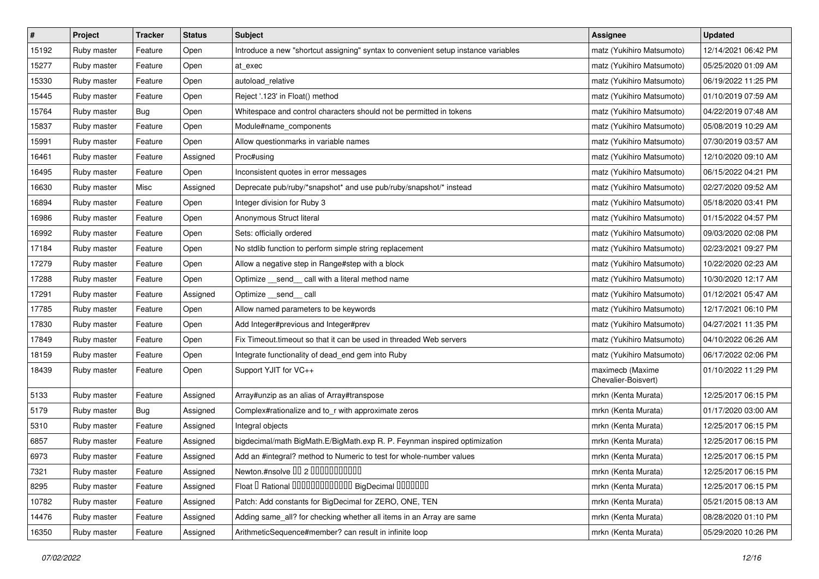| $\pmb{\#}$ | Project     | <b>Tracker</b> | <b>Status</b> | Subject                                                                            | <b>Assignee</b>                         | <b>Updated</b>      |
|------------|-------------|----------------|---------------|------------------------------------------------------------------------------------|-----------------------------------------|---------------------|
| 15192      | Ruby master | Feature        | Open          | Introduce a new "shortcut assigning" syntax to convenient setup instance variables | matz (Yukihiro Matsumoto)               | 12/14/2021 06:42 PM |
| 15277      | Ruby master | Feature        | Open          | at exec                                                                            | matz (Yukihiro Matsumoto)               | 05/25/2020 01:09 AM |
| 15330      | Ruby master | Feature        | Open          | autoload relative                                                                  | matz (Yukihiro Matsumoto)               | 06/19/2022 11:25 PM |
| 15445      | Ruby master | Feature        | Open          | Reject '.123' in Float() method                                                    | matz (Yukihiro Matsumoto)               | 01/10/2019 07:59 AM |
| 15764      | Ruby master | <b>Bug</b>     | Open          | Whitespace and control characters should not be permitted in tokens                | matz (Yukihiro Matsumoto)               | 04/22/2019 07:48 AM |
| 15837      | Ruby master | Feature        | Open          | Module#name_components                                                             | matz (Yukihiro Matsumoto)               | 05/08/2019 10:29 AM |
| 15991      | Ruby master | Feature        | Open          | Allow questionmarks in variable names                                              | matz (Yukihiro Matsumoto)               | 07/30/2019 03:57 AM |
| 16461      | Ruby master | Feature        | Assigned      | Proc#using                                                                         | matz (Yukihiro Matsumoto)               | 12/10/2020 09:10 AM |
| 16495      | Ruby master | Feature        | Open          | Inconsistent quotes in error messages                                              | matz (Yukihiro Matsumoto)               | 06/15/2022 04:21 PM |
| 16630      | Ruby master | Misc           | Assigned      | Deprecate pub/ruby/*snapshot* and use pub/ruby/snapshot/* instead                  | matz (Yukihiro Matsumoto)               | 02/27/2020 09:52 AM |
| 16894      | Ruby master | Feature        | Open          | Integer division for Ruby 3                                                        | matz (Yukihiro Matsumoto)               | 05/18/2020 03:41 PM |
| 16986      | Ruby master | Feature        | Open          | Anonymous Struct literal                                                           | matz (Yukihiro Matsumoto)               | 01/15/2022 04:57 PM |
| 16992      | Ruby master | Feature        | Open          | Sets: officially ordered                                                           | matz (Yukihiro Matsumoto)               | 09/03/2020 02:08 PM |
| 17184      | Ruby master | Feature        | Open          | No stdlib function to perform simple string replacement                            | matz (Yukihiro Matsumoto)               | 02/23/2021 09:27 PM |
| 17279      | Ruby master | Feature        | Open          | Allow a negative step in Range#step with a block                                   | matz (Yukihiro Matsumoto)               | 10/22/2020 02:23 AM |
| 17288      | Ruby master | Feature        | Open          | Optimize __ send __ call with a literal method name                                | matz (Yukihiro Matsumoto)               | 10/30/2020 12:17 AM |
| 17291      | Ruby master | Feature        | Assigned      | Optimize __send__ call                                                             | matz (Yukihiro Matsumoto)               | 01/12/2021 05:47 AM |
| 17785      | Ruby master | Feature        | Open          | Allow named parameters to be keywords                                              | matz (Yukihiro Matsumoto)               | 12/17/2021 06:10 PM |
| 17830      | Ruby master | Feature        | Open          | Add Integer#previous and Integer#prev                                              | matz (Yukihiro Matsumoto)               | 04/27/2021 11:35 PM |
| 17849      | Ruby master | Feature        | Open          | Fix Timeout.timeout so that it can be used in threaded Web servers                 | matz (Yukihiro Matsumoto)               | 04/10/2022 06:26 AM |
| 18159      | Ruby master | Feature        | Open          | Integrate functionality of dead_end gem into Ruby                                  | matz (Yukihiro Matsumoto)               | 06/17/2022 02:06 PM |
| 18439      | Ruby master | Feature        | Open          | Support YJIT for VC++                                                              | maximecb (Maxime<br>Chevalier-Boisvert) | 01/10/2022 11:29 PM |
| 5133       | Ruby master | Feature        | Assigned      | Array#unzip as an alias of Array#transpose                                         | mrkn (Kenta Murata)                     | 12/25/2017 06:15 PM |
| 5179       | Ruby master | Bug            | Assigned      | Complex#rationalize and to_r with approximate zeros                                | mrkn (Kenta Murata)                     | 01/17/2020 03:00 AM |
| 5310       | Ruby master | Feature        | Assigned      | Integral objects                                                                   | mrkn (Kenta Murata)                     | 12/25/2017 06:15 PM |
| 6857       | Ruby master | Feature        | Assigned      | bigdecimal/math BigMath.E/BigMath.exp R. P. Feynman inspired optimization          | mrkn (Kenta Murata)                     | 12/25/2017 06:15 PM |
| 6973       | Ruby master | Feature        | Assigned      | Add an #integral? method to Numeric to test for whole-number values                | mrkn (Kenta Murata)                     | 12/25/2017 06:15 PM |
| 7321       | Ruby master | Feature        | Assigned      | Newton.#nsolve 00 2 0000000000                                                     | mrkn (Kenta Murata)                     | 12/25/2017 06:15 PM |
| 8295       | Ruby master | Feature        | Assigned      | Float I Rational 0000000000000 BigDecimal 0000000                                  | mrkn (Kenta Murata)                     | 12/25/2017 06:15 PM |
| 10782      | Ruby master | Feature        | Assigned      | Patch: Add constants for BigDecimal for ZERO, ONE, TEN                             | mrkn (Kenta Murata)                     | 05/21/2015 08:13 AM |
| 14476      | Ruby master | Feature        | Assigned      | Adding same_all? for checking whether all items in an Array are same               | mrkn (Kenta Murata)                     | 08/28/2020 01:10 PM |
| 16350      | Ruby master | Feature        | Assigned      | ArithmeticSequence#member? can result in infinite loop                             | mrkn (Kenta Murata)                     | 05/29/2020 10:26 PM |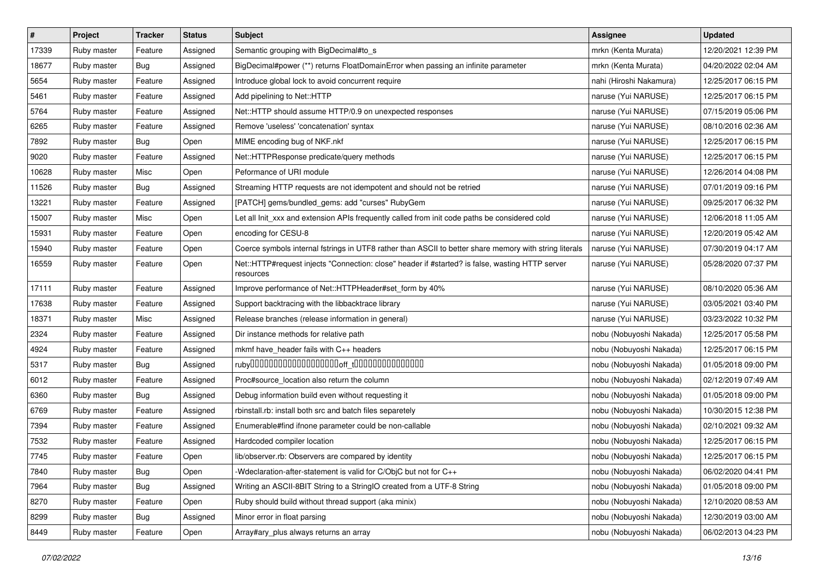| $\pmb{\#}$ | Project     | <b>Tracker</b> | <b>Status</b> | Subject                                                                                                      | <b>Assignee</b>         | <b>Updated</b>      |
|------------|-------------|----------------|---------------|--------------------------------------------------------------------------------------------------------------|-------------------------|---------------------|
| 17339      | Ruby master | Feature        | Assigned      | Semantic grouping with BigDecimal#to_s                                                                       | mrkn (Kenta Murata)     | 12/20/2021 12:39 PM |
| 18677      | Ruby master | Bug            | Assigned      | BigDecimal#power (**) returns FloatDomainError when passing an infinite parameter                            | mrkn (Kenta Murata)     | 04/20/2022 02:04 AM |
| 5654       | Ruby master | Feature        | Assigned      | Introduce global lock to avoid concurrent require                                                            | nahi (Hiroshi Nakamura) | 12/25/2017 06:15 PM |
| 5461       | Ruby master | Feature        | Assigned      | Add pipelining to Net::HTTP                                                                                  | naruse (Yui NARUSE)     | 12/25/2017 06:15 PM |
| 5764       | Ruby master | Feature        | Assigned      | Net::HTTP should assume HTTP/0.9 on unexpected responses                                                     | naruse (Yui NARUSE)     | 07/15/2019 05:06 PM |
| 6265       | Ruby master | Feature        | Assigned      | Remove 'useless' 'concatenation' syntax                                                                      | naruse (Yui NARUSE)     | 08/10/2016 02:36 AM |
| 7892       | Ruby master | Bug            | Open          | MIME encoding bug of NKF.nkf                                                                                 | naruse (Yui NARUSE)     | 12/25/2017 06:15 PM |
| 9020       | Ruby master | Feature        | Assigned      | Net::HTTPResponse predicate/query methods                                                                    | naruse (Yui NARUSE)     | 12/25/2017 06:15 PM |
| 10628      | Ruby master | Misc           | Open          | Peformance of URI module                                                                                     | naruse (Yui NARUSE)     | 12/26/2014 04:08 PM |
| 11526      | Ruby master | Bug            | Assigned      | Streaming HTTP requests are not idempotent and should not be retried                                         | naruse (Yui NARUSE)     | 07/01/2019 09:16 PM |
| 13221      | Ruby master | Feature        | Assigned      | [PATCH] gems/bundled_gems: add "curses" RubyGem                                                              | naruse (Yui NARUSE)     | 09/25/2017 06:32 PM |
| 15007      | Ruby master | Misc           | Open          | Let all Init_xxx and extension APIs frequently called from init code paths be considered cold                | naruse (Yui NARUSE)     | 12/06/2018 11:05 AM |
| 15931      | Ruby master | Feature        | Open          | encoding for CESU-8                                                                                          | naruse (Yui NARUSE)     | 12/20/2019 05:42 AM |
| 15940      | Ruby master | Feature        | Open          | Coerce symbols internal fstrings in UTF8 rather than ASCII to better share memory with string literals       | naruse (Yui NARUSE)     | 07/30/2019 04:17 AM |
| 16559      | Ruby master | Feature        | Open          | Net::HTTP#request injects "Connection: close" header if #started? is false, wasting HTTP server<br>resources | naruse (Yui NARUSE)     | 05/28/2020 07:37 PM |
| 17111      | Ruby master | Feature        | Assigned      | Improve performance of Net::HTTPHeader#set_form by 40%                                                       | naruse (Yui NARUSE)     | 08/10/2020 05:36 AM |
| 17638      | Ruby master | Feature        | Assigned      | Support backtracing with the libbacktrace library                                                            | naruse (Yui NARUSE)     | 03/05/2021 03:40 PM |
| 18371      | Ruby master | Misc           | Assigned      | Release branches (release information in general)                                                            | naruse (Yui NARUSE)     | 03/23/2022 10:32 PM |
| 2324       | Ruby master | Feature        | Assigned      | Dir instance methods for relative path                                                                       | nobu (Nobuyoshi Nakada) | 12/25/2017 05:58 PM |
| 4924       | Ruby master | Feature        | Assigned      | mkmf have_header fails with C++ headers                                                                      | nobu (Nobuyoshi Nakada) | 12/25/2017 06:15 PM |
| 5317       | Ruby master | Bug            | Assigned      |                                                                                                              | nobu (Nobuyoshi Nakada) | 01/05/2018 09:00 PM |
| 6012       | Ruby master | Feature        | Assigned      | Proc#source_location also return the column                                                                  | nobu (Nobuyoshi Nakada) | 02/12/2019 07:49 AM |
| 6360       | Ruby master | Bug            | Assigned      | Debug information build even without requesting it                                                           | nobu (Nobuyoshi Nakada) | 01/05/2018 09:00 PM |
| 6769       | Ruby master | Feature        | Assigned      | rbinstall.rb: install both src and batch files separetely                                                    | nobu (Nobuyoshi Nakada) | 10/30/2015 12:38 PM |
| 7394       | Ruby master | Feature        | Assigned      | Enumerable#find ifnone parameter could be non-callable                                                       | nobu (Nobuyoshi Nakada) | 02/10/2021 09:32 AM |
| 7532       | Ruby master | Feature        | Assigned      | Hardcoded compiler location                                                                                  | nobu (Nobuyoshi Nakada) | 12/25/2017 06:15 PM |
| 7745       | Ruby master | Feature        | Open          | lib/observer.rb: Observers are compared by identity                                                          | nobu (Nobuyoshi Nakada) | 12/25/2017 06:15 PM |
| 7840       | Ruby master | <b>Bug</b>     | Open          | -Wdeclaration-after-statement is valid for C/ObjC but not for C++                                            | nobu (Nobuyoshi Nakada) | 06/02/2020 04:41 PM |
| 7964       | Ruby master | Bug            | Assigned      | Writing an ASCII-8BIT String to a StringIO created from a UTF-8 String                                       | nobu (Nobuyoshi Nakada) | 01/05/2018 09:00 PM |
| 8270       | Ruby master | Feature        | Open          | Ruby should build without thread support (aka minix)                                                         | nobu (Nobuyoshi Nakada) | 12/10/2020 08:53 AM |
| 8299       | Ruby master | Bug            | Assigned      | Minor error in float parsing                                                                                 | nobu (Nobuyoshi Nakada) | 12/30/2019 03:00 AM |
| 8449       | Ruby master | Feature        | Open          | Array#ary_plus always returns an array                                                                       | nobu (Nobuyoshi Nakada) | 06/02/2013 04:23 PM |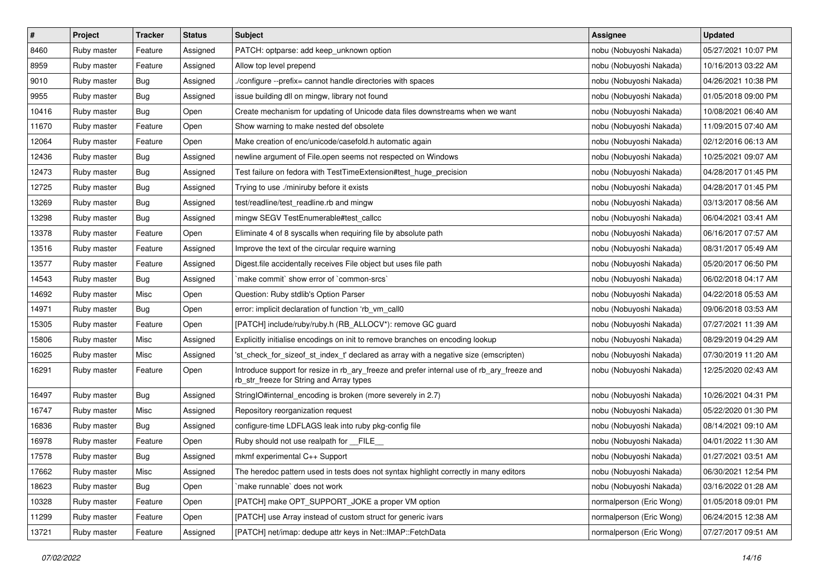| $\pmb{\#}$ | Project     | <b>Tracker</b> | <b>Status</b> | Subject                                                                                                                                | <b>Assignee</b>          | <b>Updated</b>      |
|------------|-------------|----------------|---------------|----------------------------------------------------------------------------------------------------------------------------------------|--------------------------|---------------------|
| 8460       | Ruby master | Feature        | Assigned      | PATCH: optparse: add keep_unknown option                                                                                               | nobu (Nobuyoshi Nakada)  | 05/27/2021 10:07 PM |
| 8959       | Ruby master | Feature        | Assigned      | Allow top level prepend                                                                                                                | nobu (Nobuyoshi Nakada)  | 10/16/2013 03:22 AM |
| 9010       | Ruby master | Bug            | Assigned      | /configure --prefix= cannot handle directories with spaces                                                                             | nobu (Nobuyoshi Nakada)  | 04/26/2021 10:38 PM |
| 9955       | Ruby master | <b>Bug</b>     | Assigned      | issue building dll on mingw, library not found                                                                                         | nobu (Nobuyoshi Nakada)  | 01/05/2018 09:00 PM |
| 10416      | Ruby master | Bug            | Open          | Create mechanism for updating of Unicode data files downstreams when we want                                                           | nobu (Nobuyoshi Nakada)  | 10/08/2021 06:40 AM |
| 11670      | Ruby master | Feature        | Open          | Show warning to make nested def obsolete                                                                                               | nobu (Nobuyoshi Nakada)  | 11/09/2015 07:40 AM |
| 12064      | Ruby master | Feature        | Open          | Make creation of enc/unicode/casefold.h automatic again                                                                                | nobu (Nobuyoshi Nakada)  | 02/12/2016 06:13 AM |
| 12436      | Ruby master | Bug            | Assigned      | newline argument of File.open seems not respected on Windows                                                                           | nobu (Nobuyoshi Nakada)  | 10/25/2021 09:07 AM |
| 12473      | Ruby master | <b>Bug</b>     | Assigned      | Test failure on fedora with TestTimeExtension#test_huge_precision                                                                      | nobu (Nobuyoshi Nakada)  | 04/28/2017 01:45 PM |
| 12725      | Ruby master | Bug            | Assigned      | Trying to use ./miniruby before it exists                                                                                              | nobu (Nobuyoshi Nakada)  | 04/28/2017 01:45 PM |
| 13269      | Ruby master | <b>Bug</b>     | Assigned      | test/readline/test_readline.rb and mingw                                                                                               | nobu (Nobuyoshi Nakada)  | 03/13/2017 08:56 AM |
| 13298      | Ruby master | Bug            | Assigned      | mingw SEGV TestEnumerable#test_callcc                                                                                                  | nobu (Nobuyoshi Nakada)  | 06/04/2021 03:41 AM |
| 13378      | Ruby master | Feature        | Open          | Eliminate 4 of 8 syscalls when requiring file by absolute path                                                                         | nobu (Nobuyoshi Nakada)  | 06/16/2017 07:57 AM |
| 13516      | Ruby master | Feature        | Assigned      | Improve the text of the circular require warning                                                                                       | nobu (Nobuyoshi Nakada)  | 08/31/2017 05:49 AM |
| 13577      | Ruby master | Feature        | Assigned      | Digest file accidentally receives File object but uses file path                                                                       | nobu (Nobuyoshi Nakada)  | 05/20/2017 06:50 PM |
| 14543      | Ruby master | Bug            | Assigned      | `make commit` show error of `common-srcs`                                                                                              | nobu (Nobuyoshi Nakada)  | 06/02/2018 04:17 AM |
| 14692      | Ruby master | Misc           | Open          | Question: Ruby stdlib's Option Parser                                                                                                  | nobu (Nobuyoshi Nakada)  | 04/22/2018 05:53 AM |
| 14971      | Ruby master | Bug            | Open          | error: implicit declaration of function 'rb_vm_call0                                                                                   | nobu (Nobuyoshi Nakada)  | 09/06/2018 03:53 AM |
| 15305      | Ruby master | Feature        | Open          | [PATCH] include/ruby/ruby.h (RB_ALLOCV*): remove GC guard                                                                              | nobu (Nobuyoshi Nakada)  | 07/27/2021 11:39 AM |
| 15806      | Ruby master | Misc           | Assigned      | Explicitly initialise encodings on init to remove branches on encoding lookup                                                          | nobu (Nobuyoshi Nakada)  | 08/29/2019 04:29 AM |
| 16025      | Ruby master | Misc           | Assigned      | 'st_check_for_sizeof_st_index_t' declared as array with a negative size (emscripten)                                                   | nobu (Nobuyoshi Nakada)  | 07/30/2019 11:20 AM |
| 16291      | Ruby master | Feature        | Open          | Introduce support for resize in rb_ary_freeze and prefer internal use of rb_ary_freeze and<br>rb_str_freeze for String and Array types | nobu (Nobuyoshi Nakada)  | 12/25/2020 02:43 AM |
| 16497      | Ruby master | Bug            | Assigned      | StringIO#internal_encoding is broken (more severely in 2.7)                                                                            | nobu (Nobuyoshi Nakada)  | 10/26/2021 04:31 PM |
| 16747      | Ruby master | Misc           | Assigned      | Repository reorganization request                                                                                                      | nobu (Nobuyoshi Nakada)  | 05/22/2020 01:30 PM |
| 16836      | Ruby master | Bug            | Assigned      | configure-time LDFLAGS leak into ruby pkg-config file                                                                                  | nobu (Nobuyoshi Nakada)  | 08/14/2021 09:10 AM |
| 16978      | Ruby master | Feature        | Open          | Ruby should not use realpath for FILE                                                                                                  | nobu (Nobuyoshi Nakada)  | 04/01/2022 11:30 AM |
| 17578      | Ruby master | Bug            | Assigned      | mkmf experimental C++ Support                                                                                                          | nobu (Nobuyoshi Nakada)  | 01/27/2021 03:51 AM |
| 17662      | Ruby master | Misc           | Assigned      | The heredoc pattern used in tests does not syntax highlight correctly in many editors                                                  | nobu (Nobuyoshi Nakada)  | 06/30/2021 12:54 PM |
| 18623      | Ruby master | <b>Bug</b>     | Open          | make runnable' does not work                                                                                                           | nobu (Nobuyoshi Nakada)  | 03/16/2022 01:28 AM |
| 10328      | Ruby master | Feature        | Open          | [PATCH] make OPT_SUPPORT_JOKE a proper VM option                                                                                       | normalperson (Eric Wong) | 01/05/2018 09:01 PM |
| 11299      | Ruby master | Feature        | Open          | [PATCH] use Array instead of custom struct for generic ivars                                                                           | normalperson (Eric Wong) | 06/24/2015 12:38 AM |
| 13721      | Ruby master | Feature        | Assigned      | [PATCH] net/imap: dedupe attr keys in Net::IMAP::FetchData                                                                             | normalperson (Eric Wong) | 07/27/2017 09:51 AM |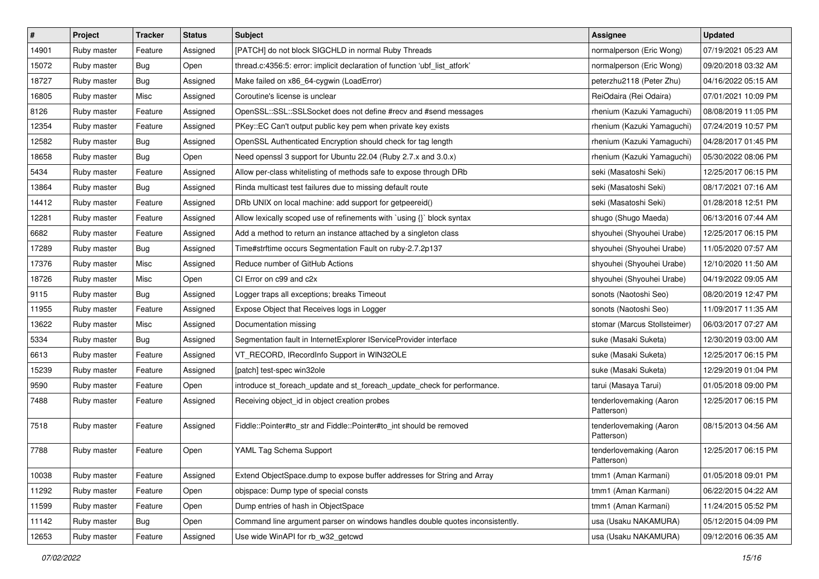| $\vert$ # | Project     | <b>Tracker</b> | <b>Status</b> | <b>Subject</b>                                                                | <b>Assignee</b>                       | <b>Updated</b>      |
|-----------|-------------|----------------|---------------|-------------------------------------------------------------------------------|---------------------------------------|---------------------|
| 14901     | Ruby master | Feature        | Assigned      | [PATCH] do not block SIGCHLD in normal Ruby Threads                           | normalperson (Eric Wong)              | 07/19/2021 05:23 AM |
| 15072     | Ruby master | Bug            | Open          | thread.c:4356:5: error: implicit declaration of function 'ubf_list_atfork'    | normalperson (Eric Wong)              | 09/20/2018 03:32 AM |
| 18727     | Ruby master | Bug            | Assigned      | Make failed on x86_64-cygwin (LoadError)                                      | peterzhu2118 (Peter Zhu)              | 04/16/2022 05:15 AM |
| 16805     | Ruby master | Misc           | Assigned      | Coroutine's license is unclear                                                | ReiOdaira (Rei Odaira)                | 07/01/2021 10:09 PM |
| 8126      | Ruby master | Feature        | Assigned      | OpenSSL::SSL::SSLSocket does not define #recv and #send messages              | rhenium (Kazuki Yamaguchi)            | 08/08/2019 11:05 PM |
| 12354     | Ruby master | Feature        | Assigned      | PKey::EC Can't output public key pem when private key exists                  | rhenium (Kazuki Yamaguchi)            | 07/24/2019 10:57 PM |
| 12582     | Ruby master | Bug            | Assigned      | OpenSSL Authenticated Encryption should check for tag length                  | rhenium (Kazuki Yamaguchi)            | 04/28/2017 01:45 PM |
| 18658     | Ruby master | Bug            | Open          | Need openssl 3 support for Ubuntu 22.04 (Ruby 2.7.x and 3.0.x)                | rhenium (Kazuki Yamaguchi)            | 05/30/2022 08:06 PM |
| 5434      | Ruby master | Feature        | Assigned      | Allow per-class whitelisting of methods safe to expose through DRb            | seki (Masatoshi Seki)                 | 12/25/2017 06:15 PM |
| 13864     | Ruby master | Bug            | Assigned      | Rinda multicast test failures due to missing default route                    | seki (Masatoshi Seki)                 | 08/17/2021 07:16 AM |
| 14412     | Ruby master | Feature        | Assigned      | DRb UNIX on local machine: add support for getpeereid()                       | seki (Masatoshi Seki)                 | 01/28/2018 12:51 PM |
| 12281     | Ruby master | Feature        | Assigned      | Allow lexically scoped use of refinements with `using {}` block syntax        | shugo (Shugo Maeda)                   | 06/13/2016 07:44 AM |
| 6682      | Ruby master | Feature        | Assigned      | Add a method to return an instance attached by a singleton class              | shyouhei (Shyouhei Urabe)             | 12/25/2017 06:15 PM |
| 17289     | Ruby master | Bug            | Assigned      | Time#strftime occurs Segmentation Fault on ruby-2.7.2p137                     | shyouhei (Shyouhei Urabe)             | 11/05/2020 07:57 AM |
| 17376     | Ruby master | Misc           | Assigned      | Reduce number of GitHub Actions                                               | shyouhei (Shyouhei Urabe)             | 12/10/2020 11:50 AM |
| 18726     | Ruby master | Misc           | Open          | CI Error on c99 and c2x                                                       | shyouhei (Shyouhei Urabe)             | 04/19/2022 09:05 AM |
| 9115      | Ruby master | Bug            | Assigned      | Logger traps all exceptions; breaks Timeout                                   | sonots (Naotoshi Seo)                 | 08/20/2019 12:47 PM |
| 11955     | Ruby master | Feature        | Assigned      | Expose Object that Receives logs in Logger                                    | sonots (Naotoshi Seo)                 | 11/09/2017 11:35 AM |
| 13622     | Ruby master | Misc           | Assigned      | Documentation missing                                                         | stomar (Marcus Stollsteimer)          | 06/03/2017 07:27 AM |
| 5334      | Ruby master | Bug            | Assigned      | Segmentation fault in InternetExplorer IServiceProvider interface             | suke (Masaki Suketa)                  | 12/30/2019 03:00 AM |
| 6613      | Ruby master | Feature        | Assigned      | VT_RECORD, IRecordInfo Support in WIN32OLE                                    | suke (Masaki Suketa)                  | 12/25/2017 06:15 PM |
| 15239     | Ruby master | Feature        | Assigned      | [patch] test-spec win32ole                                                    | suke (Masaki Suketa)                  | 12/29/2019 01:04 PM |
| 9590      | Ruby master | Feature        | Open          | introduce st_foreach_update and st_foreach_update_check for performance.      | tarui (Masaya Tarui)                  | 01/05/2018 09:00 PM |
| 7488      | Ruby master | Feature        | Assigned      | Receiving object_id in object creation probes                                 | tenderlovemaking (Aaron<br>Patterson) | 12/25/2017 06:15 PM |
| 7518      | Ruby master | Feature        | Assigned      | Fiddle::Pointer#to_str and Fiddle::Pointer#to_int should be removed           | tenderlovemaking (Aaron<br>Patterson) | 08/15/2013 04:56 AM |
| 7788      | Ruby master | Feature        | Open          | YAML Tag Schema Support                                                       | tenderlovemaking (Aaron<br>Patterson) | 12/25/2017 06:15 PM |
| 10038     | Ruby master | Feature        | Assigned      | Extend ObjectSpace.dump to expose buffer addresses for String and Array       | tmm1 (Aman Karmani)                   | 01/05/2018 09:01 PM |
| 11292     | Ruby master | Feature        | Open          | objspace: Dump type of special consts                                         | tmm1 (Aman Karmani)                   | 06/22/2015 04:22 AM |
| 11599     | Ruby master | Feature        | Open          | Dump entries of hash in ObjectSpace                                           | tmm1 (Aman Karmani)                   | 11/24/2015 05:52 PM |
| 11142     | Ruby master | Bug            | Open          | Command line argument parser on windows handles double quotes inconsistently. | usa (Usaku NAKAMURA)                  | 05/12/2015 04:09 PM |
| 12653     | Ruby master | Feature        | Assigned      | Use wide WinAPI for rb_w32_getcwd                                             | usa (Usaku NAKAMURA)                  | 09/12/2016 06:35 AM |